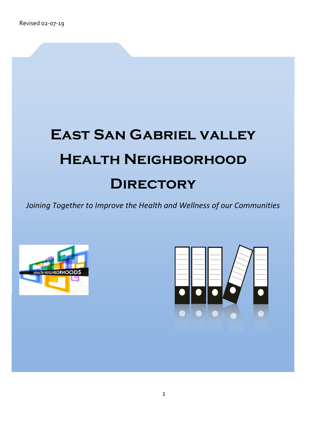# **East San Gabriel valley Health Neighborhood Directory**

*Joining Together to Improve the Health and Wellness of our Communities* 





1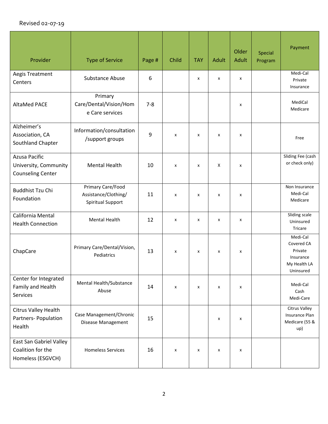| Provider                                                                  | <b>Type of Service</b>                                         | Page #  | Child | <b>TAY</b> | <b>Adult</b> | Older<br><b>Adult</b> | Special<br>Program | Payment                                                                     |
|---------------------------------------------------------------------------|----------------------------------------------------------------|---------|-------|------------|--------------|-----------------------|--------------------|-----------------------------------------------------------------------------|
| Aegis Treatment<br>Centers                                                | <b>Substance Abuse</b>                                         | 6       |       | x          | x            | x                     |                    | Medi-Cal<br>Private<br>Insurance                                            |
| <b>AltaMed PACE</b>                                                       | Primary<br>Care/Dental/Vision/Hom<br>e Care services           | $7 - 8$ |       |            |              | X                     |                    | MediCal<br>Medicare                                                         |
| Alzheimer's<br>Association, CA<br>Southland Chapter                       | Information/consultation<br>/support groups                    | 9       | X     | X          | X            | X                     |                    | Free                                                                        |
| <b>Azusa Pacific</b><br>University, Community<br><b>Counseling Center</b> | <b>Mental Health</b>                                           | 10      | X     | x          | X            | x                     |                    | Sliding Fee (cash<br>or check only)                                         |
| <b>Buddhist Tzu Chi</b><br>Foundation                                     | Primary Care/Food<br>Assistance/Clothing/<br>Spiritual Support | 11      | x     | X          | x            | x                     |                    | Non Insurance<br>Medi-Cal<br>Medicare                                       |
| California Mental<br><b>Health Connection</b>                             | <b>Mental Health</b>                                           | 12      | x     | x          | x            | x                     |                    | Sliding scale<br>Uninsured<br>Tricare                                       |
| ChapCare                                                                  | Primary Care/Dental/Vision,<br>Pediatrics                      | 13      | X     | X          | X            | X                     |                    | Medi-Cal<br>Covered CA<br>Private<br>Insurance<br>My Health LA<br>Uninsured |
| Center for Integrated<br>Family and Health<br>Services                    | Mental Health/Substance<br>Abuse                               | 14      | x     | x          | x            | x                     |                    | Medi-Cal<br>Cash<br>Medi-Care                                               |
| Citrus Valley Health<br>Partners-Population<br>Health                     | Case Management/Chronic<br>Disease Management                  | 15      |       |            | X            | x                     |                    | <b>Citrus Valley</b><br>Insurance Plan<br>Medicare (55 &<br>up)             |
| East San Gabriel Valley<br>Coalition for the<br>Homeless (ESGVCH)         | <b>Homeless Services</b>                                       | 16      | X     | x          | X            | x                     |                    |                                                                             |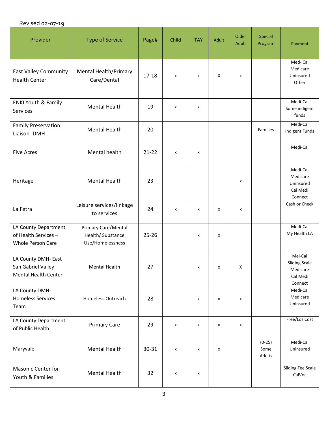| Provider                                                                 | <b>Type of Service</b>                                              | Page#     | Child | <b>TAY</b> | Adult              | Older<br><b>Adult</b> | Special<br>Program         | Payment                                                            |
|--------------------------------------------------------------------------|---------------------------------------------------------------------|-----------|-------|------------|--------------------|-----------------------|----------------------------|--------------------------------------------------------------------|
| <b>East Valley Community</b><br><b>Health Center</b>                     | <b>Mental Health/Primary</b><br>Care/Dental                         | $17 - 18$ | X     | x          | X                  | X                     |                            | Med-iCal<br>Medicare<br>Uninsured<br>Other                         |
| <b>ENKI Youth &amp; Family</b><br>Services                               | <b>Mental Health</b>                                                | 19        | X     | x          |                    |                       |                            | Medi-Cal<br>Some indigent<br>funds                                 |
| <b>Family Preservation</b><br>Liaison-DMH                                | <b>Mental Health</b>                                                | 20        |       |            |                    |                       | Families                   | Medi-Cal<br>Indigent Funds                                         |
| <b>Five Acres</b>                                                        | <b>Mental health</b>                                                | $21 - 22$ | x     | x          |                    |                       |                            | Medi-Cal                                                           |
| Heritage                                                                 | <b>Mental Health</b>                                                | 23        |       |            |                    | X                     |                            | Medi-Cal<br>Medicare<br>Uninsured<br>Cal Medi<br>Connect           |
| La Fetra                                                                 | Leisure services/linkage<br>to services                             | 24        | X     | x          | X                  | x                     |                            | Cash or Check                                                      |
| LA County Department<br>of Health Services-<br><b>Whole Person Care</b>  | <b>Primary Care/Mental</b><br>Health/ Substance<br>Use/Homelessness | $25 - 26$ |       | x          | $\pmb{\mathsf{x}}$ |                       |                            | Medi-Cal<br>My Health LA                                           |
| LA County DMH- East<br>San Gabriel Valley<br><b>Mental Health Center</b> | Mental Health                                                       | 27        |       | X.         | x                  | X                     |                            | Mei-Cal<br><b>Sliding Scale</b><br>Medicare<br>Cal Medi<br>Connect |
| LA County DMH-<br><b>Homeless Services</b><br>Team                       | Homeless Outreach                                                   | 28        |       | X          | X                  | X                     |                            | Medi-Cal<br>Medicare<br>Uninsured                                  |
| LA County Department<br>of Public Health                                 | <b>Primary Care</b>                                                 | 29        | X     | X          | X                  | X                     |                            | Free/Los Cost                                                      |
| Maryvale                                                                 | <b>Mental Health</b>                                                | 30-31     | X     | X          | X                  |                       | $(0-25)$<br>Some<br>Adults | Medi-Cal<br>Uninsured                                              |
| <b>Masonic Center for</b><br>Youth & Families                            | <b>Mental Health</b>                                                | 32        | X     | x          |                    |                       |                            | Sliding Fee Scale<br>CalVoc                                        |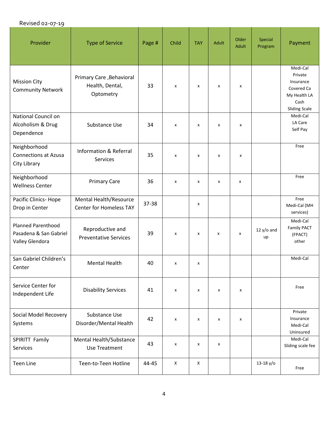| Provider                                                               | <b>Type of Service</b>                                   | Page # | Child | <b>TAY</b> | Adult                     | Older<br><b>Adult</b> | Special<br>Program | Payment                                                                                        |
|------------------------------------------------------------------------|----------------------------------------------------------|--------|-------|------------|---------------------------|-----------------------|--------------------|------------------------------------------------------------------------------------------------|
| <b>Mission City</b><br><b>Community Network</b>                        | Primary Care, Behavioral<br>Health, Dental,<br>Optometry | 33     | x     | x          | $\boldsymbol{\mathsf{x}}$ | x                     |                    | Medi-Cal<br>Private<br>Insurance<br>Covered Ca<br>My Health LA<br>Cash<br><b>Sliding Scale</b> |
| National Council on<br>Alcoholism & Drug<br>Dependence                 | Substance Use                                            | 34     | X     | x          | X                         | X                     |                    | Medi-Cal<br>LA Care<br>Self Pay                                                                |
| Neighborhood<br><b>Connections at Azusa</b><br>City Library            | <b>Information &amp; Referral</b><br>Services            | 35     | X     | x          | X                         | x                     |                    | Free                                                                                           |
| Neighborhood<br><b>Wellness Center</b>                                 | <b>Primary Care</b>                                      | 36     | X     | x          | X                         | x                     |                    | Free                                                                                           |
| Pacific Clinics-Hope<br>Drop in Center                                 | Mental Health/Resource<br><b>Center for Homeless TAY</b> | 37-38  |       | x          |                           |                       |                    | Free<br>Medi-Cal (MH<br>services)                                                              |
| <b>Planned Parenthood</b><br>Pasadena & San Gabriel<br>Valley Glendora | Reproductive and<br><b>Preventative Services</b>         | 39     | X     | x          | x                         | x                     | $12 y/o$ and<br>up | Medi-Cal<br>Family PACT<br>(FPACT)<br>other                                                    |
| San Gabriel Children's<br>Center                                       | <b>Mental Health</b>                                     | 40     | x     | x          |                           |                       |                    | Medi-Cal                                                                                       |
| Service Center for<br>Independent Life                                 | <b>Disability Services</b>                               | 41     | X     | x          | x                         | X                     |                    | Free                                                                                           |
| Social Model Recovery<br>Systems                                       | Substance Use<br>Disorder/Mental Health                  | 42     | X     | X          | X                         | X                     |                    | Private<br>Insurance<br>Medi-Cal<br>Uninsured                                                  |
| SPIRITT Family<br>Services                                             | Mental Health/Substance<br><b>Use Treatment</b>          | 43     | X     | x          | X                         |                       |                    | Medi-Cal<br>Sliding scale fee                                                                  |
| <b>Teen Line</b>                                                       | Teen-to-Teen Hotline                                     | 44-45  | X     | Χ          |                           |                       | $13-18$ y/o        | Free                                                                                           |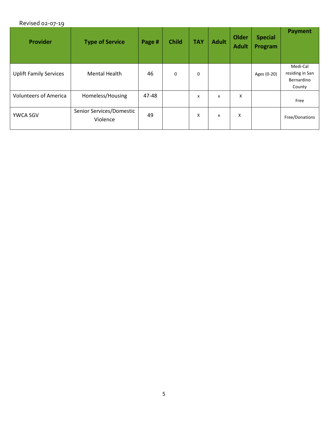| <b>Provider</b>               | <b>Type of Service</b>               | Page # | <b>Child</b> | <b>TAY</b>  | <b>Adult</b> | Older<br><b>Adult</b> | <b>Special</b><br>Program | <b>Payment</b>                                      |
|-------------------------------|--------------------------------------|--------|--------------|-------------|--------------|-----------------------|---------------------------|-----------------------------------------------------|
| <b>Uplift Family Services</b> | <b>Mental Health</b>                 | 46     | $\mathbf 0$  | $\mathbf 0$ |              |                       | Ages (0-20)               | Medi-Cal<br>residing in San<br>Bernardino<br>County |
| <b>Volunteers of America</b>  | Homeless/Housing                     | 47-48  |              | X           | X            | X                     |                           | Free                                                |
| YWCA SGV                      | Senior Services/Domestic<br>Violence | 49     |              | X           | X            | X                     |                           | Free/Donations                                      |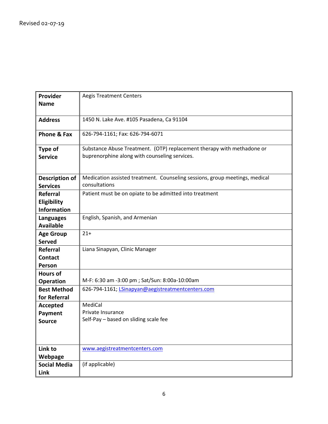| Provider                  | <b>Aegis Treatment Centers</b>                                              |
|---------------------------|-----------------------------------------------------------------------------|
| <b>Name</b>               |                                                                             |
|                           |                                                                             |
| <b>Address</b>            | 1450 N. Lake Ave. #105 Pasadena, Ca 91104                                   |
|                           |                                                                             |
| Phone & Fax               | 626-794-1161; Fax: 626-794-6071                                             |
|                           | Substance Abuse Treatment. (OTP) replacement therapy with methadone or      |
| Type of<br><b>Service</b> | buprenorphine along with counseling services.                               |
|                           |                                                                             |
|                           |                                                                             |
| <b>Description of</b>     | Medication assisted treatment. Counseling sessions, group meetings, medical |
| <b>Services</b>           | consultations                                                               |
| <b>Referral</b>           | Patient must be on opiate to be admitted into treatment                     |
| Eligibility               |                                                                             |
| <b>Information</b>        |                                                                             |
| <b>Languages</b>          | English, Spanish, and Armenian                                              |
| <b>Available</b>          |                                                                             |
| <b>Age Group</b>          | $21+$                                                                       |
| <b>Served</b>             |                                                                             |
| Referral                  | Liana Sinapyan, Clinic Manager                                              |
| <b>Contact</b>            |                                                                             |
| Person                    |                                                                             |
| <b>Hours of</b>           |                                                                             |
| <b>Operation</b>          | M-F: 6:30 am -3:00 pm ; Sat/Sun: 8:00a-10:00am                              |
| <b>Best Method</b>        | 626-794-1161; LSinapyan@aegistreatmentcenters.com                           |
| for Referral              |                                                                             |
| <b>Accepted</b>           | MediCal                                                                     |
| <b>Payment</b>            | Private Insurance                                                           |
| <b>Source</b>             | Self-Pay - based on sliding scale fee                                       |
|                           |                                                                             |
|                           |                                                                             |
| Link to                   | www.aegistreatmentcenters.com                                               |
| Webpage                   |                                                                             |
| <b>Social Media</b>       | (if applicable)                                                             |
| Link                      |                                                                             |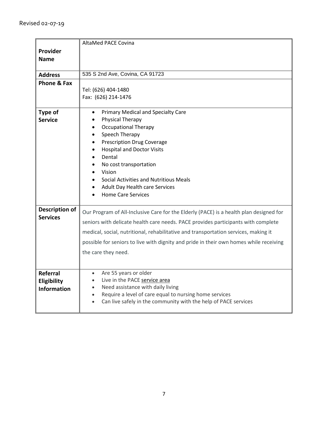|                        | AltaMed PACE Covina                                                                    |
|------------------------|----------------------------------------------------------------------------------------|
| Provider               |                                                                                        |
| <b>Name</b>            |                                                                                        |
|                        |                                                                                        |
| <b>Address</b>         | 535 S 2nd Ave, Covina, CA 91723                                                        |
| <b>Phone &amp; Fax</b> |                                                                                        |
|                        | Tel: (626) 404-1480                                                                    |
|                        | Fax: (626) 214-1476                                                                    |
|                        |                                                                                        |
| Type of                | Primary Medical and Specialty Care<br>$\bullet$                                        |
| <b>Service</b>         | <b>Physical Therapy</b>                                                                |
|                        | <b>Occupational Therapy</b><br>$\bullet$                                               |
|                        | Speech Therapy<br>$\bullet$                                                            |
|                        | <b>Prescription Drug Coverage</b><br>$\bullet$                                         |
|                        | <b>Hospital and Doctor Visits</b><br>$\bullet$<br>Dental                               |
|                        | $\bullet$<br>No cost transportation<br>$\bullet$                                       |
|                        | Vision<br>$\bullet$                                                                    |
|                        | Social Activities and Nutritious Meals<br>$\bullet$                                    |
|                        | Adult Day Health care Services<br>$\bullet$                                            |
|                        | <b>Home Care Services</b>                                                              |
|                        |                                                                                        |
| <b>Description of</b>  | Our Program of All-Inclusive Care for the Elderly (PACE) is a health plan designed for |
| <b>Services</b>        | seniors with delicate health care needs. PACE provides participants with complete      |
|                        |                                                                                        |
|                        | medical, social, nutritional, rehabilitative and transportation services, making it    |
|                        | possible for seniors to live with dignity and pride in their own homes while receiving |
|                        | the care they need.                                                                    |
|                        |                                                                                        |
|                        |                                                                                        |
| Referral               | Are 55 years or older<br>$\bullet$                                                     |
| Eligibility            | Live in the PACE service area<br>$\bullet$                                             |
| <b>Information</b>     | Need assistance with daily living<br>$\bullet$                                         |
|                        | Require a level of care equal to nursing home services<br>$\bullet$                    |
|                        | Can live safely in the community with the help of PACE services<br>$\bullet$           |
|                        |                                                                                        |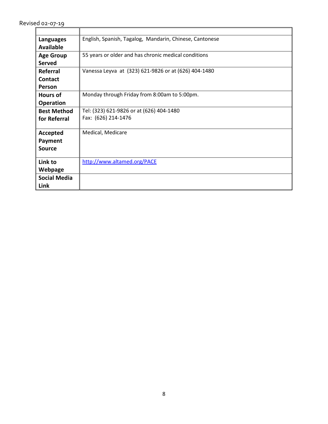| <b>Languages</b>    | English, Spanish, Tagalog, Mandarin, Chinese, Cantonese |
|---------------------|---------------------------------------------------------|
| <b>Available</b>    |                                                         |
| <b>Age Group</b>    | 55 years or older and has chronic medical conditions    |
| <b>Served</b>       |                                                         |
| Referral            | Vanessa Leyva at (323) 621-9826 or at (626) 404-1480    |
| <b>Contact</b>      |                                                         |
| <b>Person</b>       |                                                         |
| <b>Hours of</b>     | Monday through Friday from 8:00am to 5:00pm.            |
| <b>Operation</b>    |                                                         |
| <b>Best Method</b>  | Tel: (323) 621-9826 or at (626) 404-1480                |
| for Referral        | Fax: (626) 214-1476                                     |
|                     |                                                         |
| Accepted            | Medical, Medicare                                       |
| Payment             |                                                         |
| <b>Source</b>       |                                                         |
|                     |                                                         |
| Link to             | http://www.altamed.org/PACE                             |
| Webpage             |                                                         |
| <b>Social Media</b> |                                                         |
| Link                |                                                         |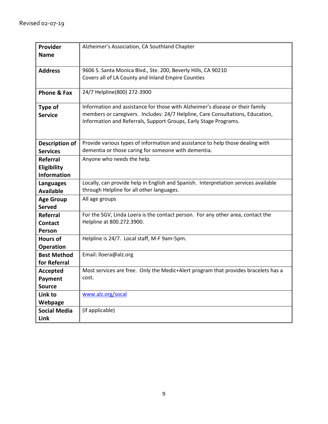| Provider               | Alzheimer's Association, CA Southland Chapter                                                                                         |
|------------------------|---------------------------------------------------------------------------------------------------------------------------------------|
| <b>Name</b>            |                                                                                                                                       |
|                        |                                                                                                                                       |
| <b>Address</b>         | 9606 S. Santa Monica Blvd., Ste. 200, Beverly Hills, CA 90210                                                                         |
|                        | Covers all of LA County and Inland Empire Counties                                                                                    |
|                        |                                                                                                                                       |
| <b>Phone &amp; Fax</b> | 24/7 Helpline(800) 272-3900                                                                                                           |
| Type of                | Information and assistance for those with Alzheimer's disease or their family                                                         |
| <b>Service</b>         | members or caregivers. Includes: 24/7 Helpline, Care Consultations, Education,                                                        |
|                        | Information and Referrals, Support Groups, Early Stage Programs.                                                                      |
|                        |                                                                                                                                       |
|                        |                                                                                                                                       |
| <b>Description of</b>  | Provide various types of information and assistance to help those dealing with<br>dementia or those caring for someone with dementia. |
| <b>Services</b>        |                                                                                                                                       |
| <b>Referral</b>        | Anyone who needs the help.                                                                                                            |
| Eligibility            |                                                                                                                                       |
| <b>Information</b>     |                                                                                                                                       |
| <b>Languages</b>       | Locally, can provide help in English and Spanish. Interpretation services available                                                   |
| <b>Available</b>       | through Helpline for all other languages.                                                                                             |
| <b>Age Group</b>       | All age groups                                                                                                                        |
| <b>Served</b>          |                                                                                                                                       |
| <b>Referral</b>        | For the SGV, Linda Loera is the contact person. For any other area, contact the                                                       |
| <b>Contact</b>         | Helpline at 800.272.3900.                                                                                                             |
| Person                 |                                                                                                                                       |
| <b>Hours of</b>        | Helpline is 24/7. Local staff, M-F 9am-5pm.                                                                                           |
| <b>Operation</b>       |                                                                                                                                       |
| <b>Best Method</b>     | Email: lloera@alz.org                                                                                                                 |
| for Referral           |                                                                                                                                       |
| <b>Accepted</b>        | Most services are free. Only the Medic+Alert program that provides bracelets has a                                                    |
| <b>Payment</b>         | cost.                                                                                                                                 |
| <b>Source</b>          |                                                                                                                                       |
| Link to                | www.alz.org/socal                                                                                                                     |
| Webpage                |                                                                                                                                       |
| <b>Social Media</b>    | (if applicable)                                                                                                                       |
| Link                   |                                                                                                                                       |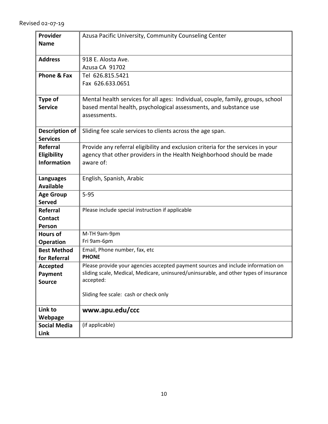| Provider              | Azusa Pacific University, Community Counseling Center                                 |
|-----------------------|---------------------------------------------------------------------------------------|
| <b>Name</b>           |                                                                                       |
|                       |                                                                                       |
| <b>Address</b>        | 918 E. Alosta Ave.                                                                    |
|                       | Azusa CA 91702                                                                        |
| Phone & Fax           | Tel 626.815.5421                                                                      |
|                       | Fax 626.633.0651                                                                      |
|                       |                                                                                       |
| Type of               | Mental health services for all ages: Individual, couple, family, groups, school       |
| <b>Service</b>        | based mental health, psychological assessments, and substance use                     |
|                       | assessments.                                                                          |
|                       |                                                                                       |
| <b>Description of</b> | Sliding fee scale services to clients across the age span.                            |
| <b>Services</b>       |                                                                                       |
| <b>Referral</b>       | Provide any referral eligibility and exclusion criteria for the services in your      |
|                       | agency that other providers in the Health Neighborhood should be made                 |
| Eligibility           |                                                                                       |
| <b>Information</b>    | aware of:                                                                             |
|                       |                                                                                       |
| <b>Languages</b>      | English, Spanish, Arabic                                                              |
| <b>Available</b>      |                                                                                       |
| <b>Age Group</b>      | $5 - 95$                                                                              |
| <b>Served</b>         |                                                                                       |
| <b>Referral</b>       | Please include special instruction if applicable                                      |
| <b>Contact</b>        |                                                                                       |
| Person                |                                                                                       |
| <b>Hours of</b>       | M-TH 9am-9pm                                                                          |
| <b>Operation</b>      | Fri 9am-6pm                                                                           |
| <b>Best Method</b>    | Email, Phone number, fax, etc                                                         |
| for Referral          | <b>PHONE</b>                                                                          |
| <b>Accepted</b>       | Please provide your agencies accepted payment sources and include information on      |
| Payment               | sliding scale, Medical, Medicare, uninsured/uninsurable, and other types of insurance |
| <b>Source</b>         | accepted:                                                                             |
|                       |                                                                                       |
|                       | Sliding fee scale: cash or check only                                                 |
|                       |                                                                                       |
| Link to               | www.apu.edu/ccc                                                                       |
| Webpage               |                                                                                       |
| <b>Social Media</b>   | (if applicable)                                                                       |
| Link                  |                                                                                       |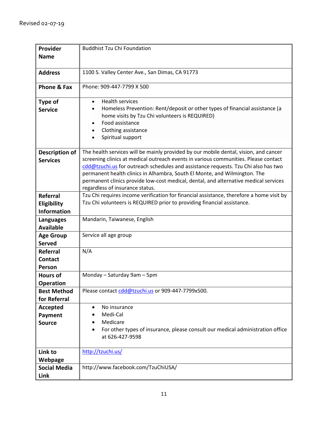| Provider            | <b>Buddhist Tzu Chi Foundation</b>                                                       |
|---------------------|------------------------------------------------------------------------------------------|
| <b>Name</b>         |                                                                                          |
|                     |                                                                                          |
| <b>Address</b>      | 1100 S. Valley Center Ave., San Dimas, CA 91773                                          |
|                     |                                                                                          |
| Phone & Fax         | Phone: 909-447-7799 X 500                                                                |
|                     |                                                                                          |
| Type of             | <b>Health services</b><br>$\bullet$                                                      |
| <b>Service</b>      | Homeless Prevention: Rent/deposit or other types of financial assistance (a              |
|                     | home visits by Tzu Chi volunteers is REQUIRED)                                           |
|                     | Food assistance                                                                          |
|                     | Clothing assistance                                                                      |
|                     | Spiritual support                                                                        |
|                     |                                                                                          |
| Description of      | The health services will be mainly provided by our mobile dental, vision, and cancer     |
| <b>Services</b>     | screening clinics at medical outreach events in various communities. Please contact      |
|                     | cdd@tzuchi.us for outreach schedules and assistance requests. Tzu Chi also has two       |
|                     | permanent health clinics in Alhambra, South El Monte, and Wilmington. The                |
|                     | permanent clinics provide low-cost medical, dental, and alternative medical services     |
|                     | regardless of insurance status.                                                          |
| <b>Referral</b>     | Tzu Chi requires income verification for financial assistance, therefore a home visit by |
| Eligibility         | Tzu Chi volunteers is REQUIRED prior to providing financial assistance.                  |
| <b>Information</b>  |                                                                                          |
| <b>Languages</b>    | Mandarin, Taiwanese, English                                                             |
| <b>Available</b>    |                                                                                          |
| <b>Age Group</b>    | Service all age group                                                                    |
| <b>Served</b>       |                                                                                          |
| <b>Referral</b>     | N/A                                                                                      |
| <b>Contact</b>      |                                                                                          |
| Person              |                                                                                          |
| <b>Hours of</b>     | Monday - Saturday 9am - 5pm                                                              |
| <b>Operation</b>    |                                                                                          |
| <b>Best Method</b>  | Please contact cdd@tzuchi.us or 909-447-7799x500.                                        |
| for Referral        |                                                                                          |
| <b>Accepted</b>     | No insurance                                                                             |
| Payment             | Medi-Cal                                                                                 |
| <b>Source</b>       | Medicare                                                                                 |
|                     | For other types of insurance, please consult our medical administration office           |
|                     | at 626-427-9598                                                                          |
|                     |                                                                                          |
| Link to             | http://tzuchi.us/                                                                        |
| Webpage             |                                                                                          |
| <b>Social Media</b> | http://www.facebook.com/TzuChiUSA/                                                       |
| Link                |                                                                                          |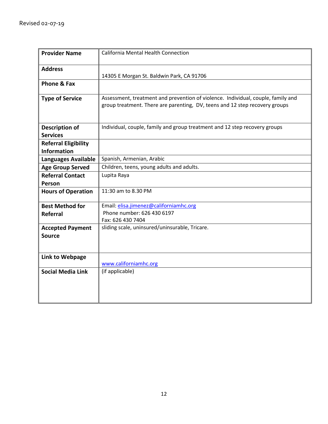| <b>Provider Name</b>                              | California Mental Health Connection                                                                                                                             |
|---------------------------------------------------|-----------------------------------------------------------------------------------------------------------------------------------------------------------------|
| <b>Address</b>                                    | 14305 E Morgan St. Baldwin Park, CA 91706                                                                                                                       |
| Phone & Fax                                       |                                                                                                                                                                 |
| <b>Type of Service</b>                            | Assessment, treatment and prevention of violence. Individual, couple, family and<br>group treatment. There are parenting, DV, teens and 12 step recovery groups |
| <b>Description of</b><br><b>Services</b>          | Individual, couple, family and group treatment and 12 step recovery groups                                                                                      |
| <b>Referral Eligibility</b><br><b>Information</b> |                                                                                                                                                                 |
| <b>Languages Available</b>                        | Spanish, Armenian, Arabic                                                                                                                                       |
| <b>Age Group Served</b>                           | Children, teens, young adults and adults.                                                                                                                       |
| <b>Referral Contact</b>                           | Lupita Raya                                                                                                                                                     |
| Person                                            |                                                                                                                                                                 |
| <b>Hours of Operation</b>                         | 11:30 am to 8.30 PM                                                                                                                                             |
| <b>Best Method for</b>                            | Email: elisa.jimenez@californiamhc.org                                                                                                                          |
| <b>Referral</b>                                   | Phone number: 626 430 6197                                                                                                                                      |
|                                                   | Fax: 626 430 7404                                                                                                                                               |
| <b>Accepted Payment</b>                           | sliding scale, uninsured/uninsurable, Tricare.                                                                                                                  |
| <b>Source</b>                                     |                                                                                                                                                                 |
| Link to Webpage                                   | www.californiamhc.org                                                                                                                                           |
| <b>Social Media Link</b>                          | (if applicable)                                                                                                                                                 |
|                                                   |                                                                                                                                                                 |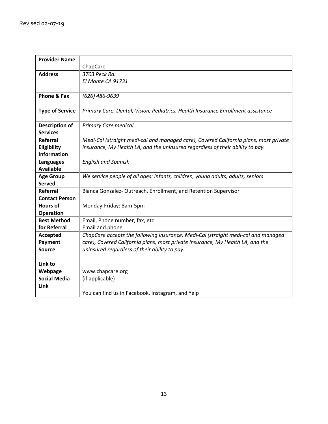| <b>Provider Name</b>   |                                                                                       |
|------------------------|---------------------------------------------------------------------------------------|
|                        | ChapCare                                                                              |
| <b>Address</b>         | 3703 Peck Rd.                                                                         |
|                        | El Monte CA 91731                                                                     |
|                        |                                                                                       |
| <b>Phone &amp; Fax</b> | (626) 486-9639                                                                        |
|                        |                                                                                       |
| <b>Type of Service</b> | Primary Care, Dental, Vision, Pediatrics, Health Insurance Enrollment assistance      |
|                        |                                                                                       |
| <b>Description of</b>  | <b>Primary Care medical</b>                                                           |
| <b>Services</b>        |                                                                                       |
| <b>Referral</b>        | Medi-Cal (straight medi-cal and managed care), Covered California plans, most private |
| Eligibility            | insurance, My Health LA, and the uninsured regardless of their ability to pay.        |
| <b>Information</b>     |                                                                                       |
| <b>Languages</b>       | <b>English and Spanish</b>                                                            |
| <b>Available</b>       |                                                                                       |
| <b>Age Group</b>       | We service people of all ages: infants, children, young adults, adults, seniors       |
| <b>Served</b>          |                                                                                       |
| <b>Referral</b>        | Bianca Gonzalez-Outreach, Enrollment, and Retention Supervisor                        |
| <b>Contact Person</b>  |                                                                                       |
| <b>Hours of</b>        | Monday-Friday: 8am-5pm                                                                |
| <b>Operation</b>       |                                                                                       |
| <b>Best Method</b>     | Email, Phone number, fax, etc                                                         |
| for Referral           | Email and phone                                                                       |
| <b>Accepted</b>        | ChapCare accepts the following insurance: Medi-Cal (straight medi-cal and managed     |
| Payment                | care), Covered California plans, most private insurance, My Health LA, and the        |
| <b>Source</b>          | uninsured regardless of their ability to pay.                                         |
|                        |                                                                                       |
| Link to                |                                                                                       |
| Webpage                | www.chapcare.org                                                                      |
| <b>Social Media</b>    | (if applicable)                                                                       |
| Link                   |                                                                                       |
|                        | You can find us in Facebook, Instagram, and Yelp                                      |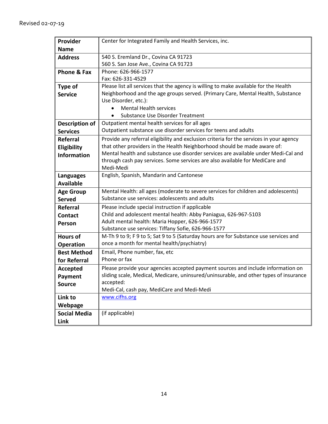| Provider              | Center for Integrated Family and Health Services, inc.                                  |
|-----------------------|-----------------------------------------------------------------------------------------|
| <b>Name</b>           |                                                                                         |
| <b>Address</b>        | 540 S. Eremland Dr., Covina CA 91723                                                    |
|                       | 560 S. San Jose Ave., Covina CA 91723                                                   |
| Phone & Fax           | Phone: 626-966-1577                                                                     |
|                       | Fax: 626-331-4529                                                                       |
| <b>Type of</b>        | Please list all services that the agency is willing to make available for the Health    |
| <b>Service</b>        | Neighborhood and the age groups served. (Primary Care, Mental Health, Substance         |
|                       | Use Disorder, etc.):                                                                    |
|                       | <b>Mental Health services</b>                                                           |
|                       | Substance Use Disorder Treatment                                                        |
| <b>Description of</b> | Outpatient mental health services for all ages                                          |
| <b>Services</b>       | Outpatient substance use disorder services for teens and adults                         |
| <b>Referral</b>       | Provide any referral eligibility and exclusion criteria for the services in your agency |
| Eligibility           | that other providers in the Health Neighborhood should be made aware of:                |
| <b>Information</b>    | Mental health and substance use disorder services are available under Medi-Cal and      |
|                       | through cash pay services. Some services are also available for MediCare and            |
|                       | Medi-Medi                                                                               |
| <b>Languages</b>      | English, Spanish, Mandarin and Cantonese                                                |
| <b>Available</b>      |                                                                                         |
| <b>Age Group</b>      | Mental Health: all ages (moderate to severe services for children and adolescents)      |
| <b>Served</b>         | Substance use services: adolescents and adults                                          |
| <b>Referral</b>       | Please include special instruction if applicable                                        |
| <b>Contact</b>        | Child and adolescent mental health: Abby Paniagua, 626-967-5103                         |
| Person                | Adult mental health: Maria Hopper, 626-966-1577                                         |
|                       | Substance use services: Tiffany Sofie, 626-966-1577                                     |
| <b>Hours of</b>       | M-Th 9 to 9; F 9 to 5; Sat 9 to 5 (Saturday hours are for Substance use services and    |
| <b>Operation</b>      | once a month for mental health/psychiatry)                                              |
| <b>Best Method</b>    | Email, Phone number, fax, etc                                                           |
| for Referral          | Phone or fax                                                                            |
| <b>Accepted</b>       | Please provide your agencies accepted payment sources and include information on        |
| Payment               | sliding scale, Medical, Medicare, uninsured/uninsurable, and other types of insurance   |
| <b>Source</b>         | accepted:                                                                               |
| Link to               | Medi-Cal, cash pay, MediCare and Medi-Medi<br>www.cifhs.org                             |
|                       |                                                                                         |
| Webpage               |                                                                                         |
| <b>Social Media</b>   | (if applicable)                                                                         |
| Link                  |                                                                                         |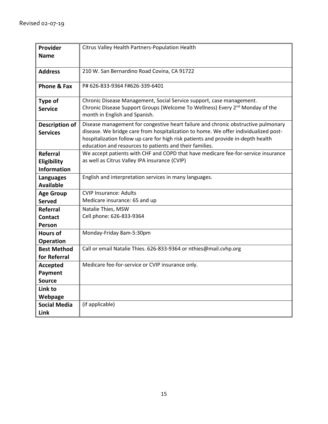| Provider              | Citrus Valley Health Partners-Population Health                                                                           |
|-----------------------|---------------------------------------------------------------------------------------------------------------------------|
| <b>Name</b>           |                                                                                                                           |
|                       |                                                                                                                           |
| <b>Address</b>        | 210 W. San Bernardino Road Covina, CA 91722                                                                               |
|                       |                                                                                                                           |
| Phone & Fax           | P# 626-833-9364 F#626-339-6401                                                                                            |
| <b>Type of</b>        | Chronic Disease Management, Social Service support, case management.                                                      |
| <b>Service</b>        | Chronic Disease Support Groups (Welcome To Wellness) Every 2 <sup>nd</sup> Monday of the<br>month in English and Spanish. |
| <b>Description of</b> | Disease management for congestive heart failure and chronic obstructive pulmonary                                         |
| <b>Services</b>       | disease. We bridge care from hospitalization to home. We offer individualized post-                                       |
|                       | hospitalization follow up care for high risk patients and provide in-depth health                                         |
|                       | education and resources to patients and their families.                                                                   |
| <b>Referral</b>       | We accept patients with CHF and COPD that have medicare fee-for-service insurance                                         |
| Eligibility           | as well as Citrus Valley IPA insurance (CVIP)                                                                             |
| <b>Information</b>    |                                                                                                                           |
| <b>Languages</b>      | English and interpretation services in many languages.                                                                    |
| <b>Available</b>      |                                                                                                                           |
| <b>Age Group</b>      | <b>CVIP Insurance: Adults</b>                                                                                             |
| <b>Served</b>         | Medicare insurance: 65 and up                                                                                             |
| <b>Referral</b>       | Natalie Thies, MSW                                                                                                        |
| <b>Contact</b>        | Cell phone: 626-833-9364                                                                                                  |
| Person                |                                                                                                                           |
| <b>Hours of</b>       | Monday-Friday 8am-5:30pm                                                                                                  |
| <b>Operation</b>      |                                                                                                                           |
| <b>Best Method</b>    | Call or email Natalie Thies. 626-833-9364 or nthies@mail.cvhp.org                                                         |
| for Referral          |                                                                                                                           |
| Accepted              | Medicare fee-for-service or CVIP insurance only.                                                                          |
| Payment               |                                                                                                                           |
| <b>Source</b>         |                                                                                                                           |
| Link to               |                                                                                                                           |
| Webpage               |                                                                                                                           |
| <b>Social Media</b>   | (if applicable)                                                                                                           |
| Link                  |                                                                                                                           |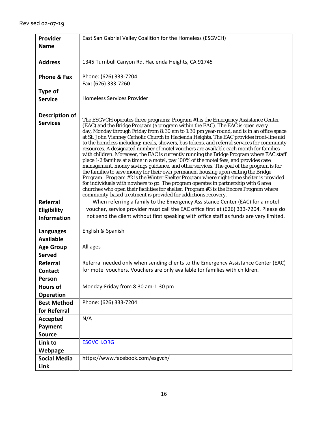| Provider                                 | East San Gabriel Valley Coalition for the Homeless (ESGVCH)                                                                                                                                                                                                                                                                                                                                                                                                                                                                                                                                                                                                                                                                                                                                                                                                                                                                                                                                                                                                                                                                                                                                                                                                            |
|------------------------------------------|------------------------------------------------------------------------------------------------------------------------------------------------------------------------------------------------------------------------------------------------------------------------------------------------------------------------------------------------------------------------------------------------------------------------------------------------------------------------------------------------------------------------------------------------------------------------------------------------------------------------------------------------------------------------------------------------------------------------------------------------------------------------------------------------------------------------------------------------------------------------------------------------------------------------------------------------------------------------------------------------------------------------------------------------------------------------------------------------------------------------------------------------------------------------------------------------------------------------------------------------------------------------|
| <b>Name</b>                              |                                                                                                                                                                                                                                                                                                                                                                                                                                                                                                                                                                                                                                                                                                                                                                                                                                                                                                                                                                                                                                                                                                                                                                                                                                                                        |
|                                          |                                                                                                                                                                                                                                                                                                                                                                                                                                                                                                                                                                                                                                                                                                                                                                                                                                                                                                                                                                                                                                                                                                                                                                                                                                                                        |
| <b>Address</b>                           | 1345 Turnbull Canyon Rd. Hacienda Heights, CA 91745                                                                                                                                                                                                                                                                                                                                                                                                                                                                                                                                                                                                                                                                                                                                                                                                                                                                                                                                                                                                                                                                                                                                                                                                                    |
| <b>Phone &amp; Fax</b>                   | Phone: (626) 333-7204                                                                                                                                                                                                                                                                                                                                                                                                                                                                                                                                                                                                                                                                                                                                                                                                                                                                                                                                                                                                                                                                                                                                                                                                                                                  |
|                                          | Fax: (626) 333-7260                                                                                                                                                                                                                                                                                                                                                                                                                                                                                                                                                                                                                                                                                                                                                                                                                                                                                                                                                                                                                                                                                                                                                                                                                                                    |
| <b>Type of</b>                           |                                                                                                                                                                                                                                                                                                                                                                                                                                                                                                                                                                                                                                                                                                                                                                                                                                                                                                                                                                                                                                                                                                                                                                                                                                                                        |
| <b>Service</b>                           | <b>Homeless Services Provider</b>                                                                                                                                                                                                                                                                                                                                                                                                                                                                                                                                                                                                                                                                                                                                                                                                                                                                                                                                                                                                                                                                                                                                                                                                                                      |
|                                          |                                                                                                                                                                                                                                                                                                                                                                                                                                                                                                                                                                                                                                                                                                                                                                                                                                                                                                                                                                                                                                                                                                                                                                                                                                                                        |
| <b>Description of</b><br><b>Services</b> | The ESGVCH operates three programs: Program #1 is the Emergency Assistance Center<br>(EAC) and the Bridge Program (a program within the EAC). The EAC is open every<br>day, Monday through Friday from 8:30 am to 1:30 pm year-round, and is in an office space<br>at St. John Vianney Catholic Church in Hacienda Heights. The EAC provides front-line aid<br>to the homeless including: meals, showers, bus tokens, and referral services for community<br>resources. A designated number of motel vouchers are available each month for families<br>with children. Moreover, the EAC is currently running the Bridge Program where EAC staff<br>place 1-2 families at a time in a motel, pay 100% of the motel fees, and provides case<br>management, money savings guidance, and other services. The goal of the program is for<br>the families to save money for their own permanent housing upon exiting the Bridge<br>Program. Program #2 is the Winter Shelter Program where night-time shelter is provided<br>for individuals with nowhere to go. The program operates in partnership with 6 area<br>churches who open their facilities for shelter. Program #3 is the Encore Program where<br>community-based treatment is provided for addictions recovery. |
| Referral                                 | When referring a family to the Emergency Assistance Center (EAC) for a motel                                                                                                                                                                                                                                                                                                                                                                                                                                                                                                                                                                                                                                                                                                                                                                                                                                                                                                                                                                                                                                                                                                                                                                                           |
| Eligibility<br><b>Information</b>        | voucher, service provider must call the EAC office first at (626) 333-7204. Please do<br>not send the client without first speaking with office staff as funds are very limited.                                                                                                                                                                                                                                                                                                                                                                                                                                                                                                                                                                                                                                                                                                                                                                                                                                                                                                                                                                                                                                                                                       |
| Languages                                | English & Spanish                                                                                                                                                                                                                                                                                                                                                                                                                                                                                                                                                                                                                                                                                                                                                                                                                                                                                                                                                                                                                                                                                                                                                                                                                                                      |
| <b>Available</b>                         |                                                                                                                                                                                                                                                                                                                                                                                                                                                                                                                                                                                                                                                                                                                                                                                                                                                                                                                                                                                                                                                                                                                                                                                                                                                                        |
| <b>Age Group</b><br><b>Served</b>        | All ages                                                                                                                                                                                                                                                                                                                                                                                                                                                                                                                                                                                                                                                                                                                                                                                                                                                                                                                                                                                                                                                                                                                                                                                                                                                               |
| Referral                                 | Referral needed only when sending clients to the Emergency Assistance Center (EAC)                                                                                                                                                                                                                                                                                                                                                                                                                                                                                                                                                                                                                                                                                                                                                                                                                                                                                                                                                                                                                                                                                                                                                                                     |
| Contact                                  | for motel vouchers. Vouchers are only available for families with children.                                                                                                                                                                                                                                                                                                                                                                                                                                                                                                                                                                                                                                                                                                                                                                                                                                                                                                                                                                                                                                                                                                                                                                                            |
| Person                                   |                                                                                                                                                                                                                                                                                                                                                                                                                                                                                                                                                                                                                                                                                                                                                                                                                                                                                                                                                                                                                                                                                                                                                                                                                                                                        |
| <b>Hours of</b>                          | Monday-Friday from 8:30 am-1:30 pm                                                                                                                                                                                                                                                                                                                                                                                                                                                                                                                                                                                                                                                                                                                                                                                                                                                                                                                                                                                                                                                                                                                                                                                                                                     |
| <b>Operation</b>                         |                                                                                                                                                                                                                                                                                                                                                                                                                                                                                                                                                                                                                                                                                                                                                                                                                                                                                                                                                                                                                                                                                                                                                                                                                                                                        |
| <b>Best Method</b>                       | Phone: (626) 333-7204                                                                                                                                                                                                                                                                                                                                                                                                                                                                                                                                                                                                                                                                                                                                                                                                                                                                                                                                                                                                                                                                                                                                                                                                                                                  |
| for Referral                             |                                                                                                                                                                                                                                                                                                                                                                                                                                                                                                                                                                                                                                                                                                                                                                                                                                                                                                                                                                                                                                                                                                                                                                                                                                                                        |
| <b>Accepted</b>                          | N/A                                                                                                                                                                                                                                                                                                                                                                                                                                                                                                                                                                                                                                                                                                                                                                                                                                                                                                                                                                                                                                                                                                                                                                                                                                                                    |
| Payment                                  |                                                                                                                                                                                                                                                                                                                                                                                                                                                                                                                                                                                                                                                                                                                                                                                                                                                                                                                                                                                                                                                                                                                                                                                                                                                                        |
| <b>Source</b>                            |                                                                                                                                                                                                                                                                                                                                                                                                                                                                                                                                                                                                                                                                                                                                                                                                                                                                                                                                                                                                                                                                                                                                                                                                                                                                        |
| Link to                                  | <b>ESGVCH.ORG</b>                                                                                                                                                                                                                                                                                                                                                                                                                                                                                                                                                                                                                                                                                                                                                                                                                                                                                                                                                                                                                                                                                                                                                                                                                                                      |
| Webpage                                  |                                                                                                                                                                                                                                                                                                                                                                                                                                                                                                                                                                                                                                                                                                                                                                                                                                                                                                                                                                                                                                                                                                                                                                                                                                                                        |
| <b>Social Media</b>                      | https://www.facebook.com/esgvch/                                                                                                                                                                                                                                                                                                                                                                                                                                                                                                                                                                                                                                                                                                                                                                                                                                                                                                                                                                                                                                                                                                                                                                                                                                       |
| Link                                     |                                                                                                                                                                                                                                                                                                                                                                                                                                                                                                                                                                                                                                                                                                                                                                                                                                                                                                                                                                                                                                                                                                                                                                                                                                                                        |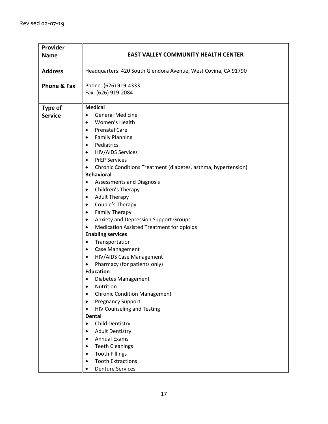| Provider       |                                                                            |
|----------------|----------------------------------------------------------------------------|
| <b>Name</b>    | <b>EAST VALLEY COMMUNITY HEALTH CENTER</b>                                 |
| <b>Address</b> | Headquarters: 420 South Glendora Avenue, West Covina, CA 91790             |
| Phone & Fax    | Phone: (626) 919-4333                                                      |
|                | Fax: (626) 919-2084                                                        |
| Type of        | <b>Medical</b>                                                             |
| <b>Service</b> | <b>General Medicine</b><br>$\bullet$                                       |
|                | Women's Health<br>$\bullet$                                                |
|                | <b>Prenatal Care</b><br>$\bullet$                                          |
|                | <b>Family Planning</b><br>$\bullet$                                        |
|                | Pediatrics<br>$\bullet$                                                    |
|                | <b>HIV/AIDS Services</b><br>$\bullet$                                      |
|                | <b>PrEP Services</b><br>$\bullet$                                          |
|                | Chronic Conditions Treatment (diabetes, asthma, hypertension)<br>$\bullet$ |
|                | <b>Behavioral</b>                                                          |
|                | Assessments and Diagnosis<br>$\bullet$                                     |
|                | Children's Therapy<br>٠                                                    |
|                | <b>Adult Therapy</b><br>$\bullet$                                          |
|                | Couple's Therapy<br>$\bullet$                                              |
|                | <b>Family Therapy</b><br>٠                                                 |
|                | Anxiety and Depression Support Groups<br>$\bullet$                         |
|                | <b>Medication Assisted Treatment for opioids</b><br>$\bullet$              |
|                | <b>Enabling services</b>                                                   |
|                | Transportation<br>٠                                                        |
|                | Case Management<br>$\bullet$                                               |
|                | HIV/AIDS Case Management<br>$\bullet$                                      |
|                | Pharmacy (for patients only)<br>$\bullet$                                  |
|                | <b>Education</b>                                                           |
|                | Diabetes Management<br>$\bullet$                                           |
|                | Nutrition<br>٠                                                             |
|                | <b>Chronic Condition Management</b><br>$\bullet$                           |
|                | <b>Pregnancy Support</b><br>$\bullet$                                      |
|                | <b>HIV Counseling and Testing</b>                                          |
|                | <b>Dental</b>                                                              |
|                | Child Dentistry<br>$\bullet$                                               |
|                | <b>Adult Dentistry</b><br>$\bullet$                                        |
|                | <b>Annual Exams</b>                                                        |
|                | <b>Teeth Cleanings</b><br>$\bullet$                                        |
|                | <b>Tooth Fillings</b><br>$\bullet$                                         |
|                | <b>Tooth Extractions</b><br>$\bullet$                                      |
|                | <b>Denture Services</b><br>$\bullet$                                       |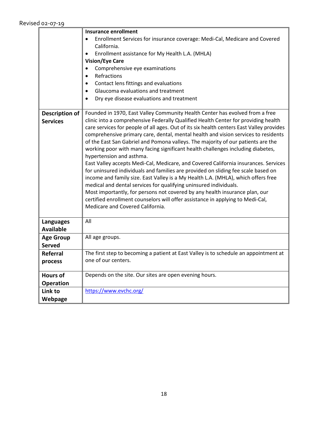|                       | <b>Insurance enrollment</b>                                                                                        |
|-----------------------|--------------------------------------------------------------------------------------------------------------------|
|                       | Enrollment Services for insurance coverage: Medi-Cal, Medicare and Covered                                         |
|                       | California.                                                                                                        |
|                       | Enrollment assistance for My Health L.A. (MHLA)                                                                    |
|                       | <b>Vision/Eye Care</b>                                                                                             |
|                       | Comprehensive eye examinations                                                                                     |
|                       | Refractions                                                                                                        |
|                       | Contact lens fittings and evaluations                                                                              |
|                       | Glaucoma evaluations and treatment                                                                                 |
|                       | Dry eye disease evaluations and treatment                                                                          |
|                       |                                                                                                                    |
| <b>Description of</b> | Founded in 1970, East Valley Community Health Center has evolved from a free                                       |
| <b>Services</b>       | clinic into a comprehensive Federally Qualified Health Center for providing health                                 |
|                       | care services for people of all ages. Out of its six health centers East Valley provides                           |
|                       | comprehensive primary care, dental, mental health and vision services to residents                                 |
|                       | of the East San Gabriel and Pomona valleys. The majority of our patients are the                                   |
|                       | working poor with many facing significant health challenges including diabetes,                                    |
|                       | hypertension and asthma.                                                                                           |
|                       | East Valley accepts Medi-Cal, Medicare, and Covered California insurances. Services                                |
|                       | for uninsured individuals and families are provided on sliding fee scale based on                                  |
|                       | income and family size. East Valley is a My Health L.A. (MHLA), which offers free                                  |
|                       | medical and dental services for qualifying uninsured individuals.                                                  |
|                       | Most importantly, for persons not covered by any health insurance plan, our                                        |
|                       | certified enrollment counselors will offer assistance in applying to Medi-Cal,<br>Medicare and Covered California. |
|                       |                                                                                                                    |
| <b>Languages</b>      | All                                                                                                                |
| <b>Available</b>      |                                                                                                                    |
| <b>Age Group</b>      | All age groups.                                                                                                    |
| <b>Served</b>         |                                                                                                                    |
| <b>Referral</b>       | The first step to becoming a patient at East Valley is to schedule an appointment at                               |
| process               | one of our centers.                                                                                                |
|                       |                                                                                                                    |
| <b>Hours of</b>       | Depends on the site. Our sites are open evening hours.                                                             |
| <b>Operation</b>      |                                                                                                                    |
| Link to               | https://www.evchc.org/                                                                                             |
| Webpage               |                                                                                                                    |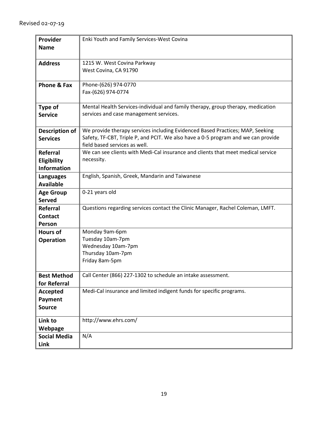| Provider              | Enki Youth and Family Services-West Covina                                        |
|-----------------------|-----------------------------------------------------------------------------------|
| <b>Name</b>           |                                                                                   |
|                       |                                                                                   |
| <b>Address</b>        | 1215 W. West Covina Parkway                                                       |
|                       |                                                                                   |
|                       | West Covina, CA 91790                                                             |
|                       |                                                                                   |
| Phone & Fax           | Phone-(626) 974-0770                                                              |
|                       | Fax-(626) 974-0774                                                                |
|                       |                                                                                   |
| Type of               | Mental Health Services-individual and family therapy, group therapy, medication   |
| <b>Service</b>        | services and case management services.                                            |
|                       |                                                                                   |
|                       |                                                                                   |
| <b>Description of</b> | We provide therapy services including Evidenced Based Practices; MAP, Seeking     |
| <b>Services</b>       | Safety, TF-CBT, Triple P, and PCIT. We also have a 0-5 program and we can provide |
|                       | field based services as well.                                                     |
| Referral              | We can see clients with Medi-Cal insurance and clients that meet medical service  |
| Eligibility           | necessity.                                                                        |
| <b>Information</b>    |                                                                                   |
|                       | English, Spanish, Greek, Mandarin and Taiwanese                                   |
| <b>Languages</b>      |                                                                                   |
| <b>Available</b>      |                                                                                   |
| <b>Age Group</b>      | 0-21 years old                                                                    |
| <b>Served</b>         |                                                                                   |
| <b>Referral</b>       | Questions regarding services contact the Clinic Manager, Rachel Coleman, LMFT.    |
| <b>Contact</b>        |                                                                                   |
| Person                |                                                                                   |
|                       |                                                                                   |
| <b>Hours of</b>       | Monday 9am-6pm                                                                    |
| <b>Operation</b>      | Tuesday 10am-7pm                                                                  |
|                       | Wednesday 10am-7pm                                                                |
|                       | Thursday 10am-7pm                                                                 |
|                       | Friday 8am-5pm                                                                    |
|                       |                                                                                   |
| <b>Best Method</b>    | Call Center (866) 227-1302 to schedule an intake assessment.                      |
| for Referral          |                                                                                   |
| <b>Accepted</b>       | Medi-Cal insurance and limited indigent funds for specific programs.              |
| Payment               |                                                                                   |
|                       |                                                                                   |
| <b>Source</b>         |                                                                                   |
| Link to               | http://www.ehrs.com/                                                              |
|                       |                                                                                   |
| Webpage               |                                                                                   |
| <b>Social Media</b>   | N/A                                                                               |
| Link                  |                                                                                   |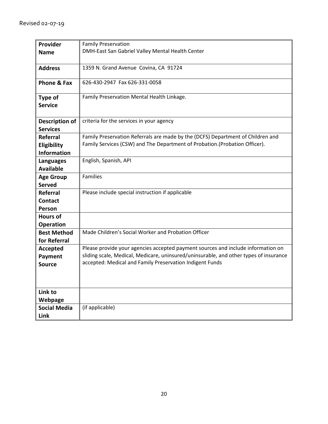| Provider              | <b>Family Preservation</b>                                                            |
|-----------------------|---------------------------------------------------------------------------------------|
| <b>Name</b>           | DMH-East San Gabriel Valley Mental Health Center                                      |
|                       |                                                                                       |
| <b>Address</b>        | 1359 N. Grand Avenue Covina, CA 91724                                                 |
|                       |                                                                                       |
| Phone & Fax           | 626-430-2947 Fax 626-331-0058                                                         |
|                       |                                                                                       |
| Type of               | Family Preservation Mental Health Linkage.                                            |
| <b>Service</b>        |                                                                                       |
|                       |                                                                                       |
| <b>Description of</b> | criteria for the services in your agency                                              |
| <b>Services</b>       |                                                                                       |
| <b>Referral</b>       | Family Preservation Referrals are made by the (DCFS) Department of Children and       |
| Eligibility           | Family Services (CSW) and The Department of Probation.(Probation Officer).            |
| <b>Information</b>    |                                                                                       |
| Languages             | English, Spanish, API                                                                 |
| <b>Available</b>      |                                                                                       |
| <b>Age Group</b>      | Families                                                                              |
| <b>Served</b>         |                                                                                       |
| Referral              | Please include special instruction if applicable                                      |
| <b>Contact</b>        |                                                                                       |
| <b>Person</b>         |                                                                                       |
| <b>Hours of</b>       |                                                                                       |
| <b>Operation</b>      |                                                                                       |
| <b>Best Method</b>    | Made Children's Social Worker and Probation Officer                                   |
| for Referral          |                                                                                       |
| Accepted              | Please provide your agencies accepted payment sources and include information on      |
| Payment               | sliding scale, Medical, Medicare, uninsured/uninsurable, and other types of insurance |
| <b>Source</b>         | accepted: Medical and Family Preservation Indigent Funds                              |
|                       |                                                                                       |
|                       |                                                                                       |
|                       |                                                                                       |
| Link to               |                                                                                       |
| Webpage               |                                                                                       |
| <b>Social Media</b>   | (if applicable)                                                                       |
| Link                  |                                                                                       |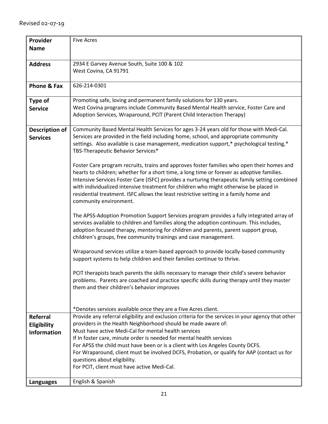| Provider              | <b>Five Acres</b>                                                                                                                                                               |
|-----------------------|---------------------------------------------------------------------------------------------------------------------------------------------------------------------------------|
| <b>Name</b>           |                                                                                                                                                                                 |
|                       | 2934 E Garvey Avenue South, Suite 100 & 102                                                                                                                                     |
| <b>Address</b>        | West Covina, CA 91791                                                                                                                                                           |
|                       |                                                                                                                                                                                 |
| Phone & Fax           | 626-214-0301                                                                                                                                                                    |
|                       |                                                                                                                                                                                 |
| <b>Type of</b>        | Promoting safe, loving and permanent family solutions for 130 years.                                                                                                            |
| <b>Service</b>        | West Covina programs include Community Based Mental Health service, Foster Care and                                                                                             |
|                       | Adoption Services, Wraparound, PCIT (Parent Child Interaction Therapy)                                                                                                          |
|                       |                                                                                                                                                                                 |
| <b>Description of</b> | Community Based Mental Health Services for ages 3-24 years old for those with Medi-Cal.                                                                                         |
| <b>Services</b>       | Services are provided in the field including home, school, and appropriate community                                                                                            |
|                       | settings. Also available is case management, medication support,* psychological testing,*                                                                                       |
|                       | TBS-Therapeutic Behavior Services*                                                                                                                                              |
|                       | Foster Care program recruits, trains and approves foster families who open their homes and                                                                                      |
|                       | hearts to children; whether for a short time, a long time or forever as adoptive families.                                                                                      |
|                       | Intensive Services Foster Care (ISFC) provides a nurturing therapeutic family setting combined                                                                                  |
|                       | with individualized intensive treatment for children who might otherwise be placed in                                                                                           |
|                       | residential treatment. ISFC allows the least restrictive setting in a family home and                                                                                           |
|                       | community environment.                                                                                                                                                          |
|                       |                                                                                                                                                                                 |
|                       | The APSS-Adoption Promotion Support Services program provides a fully integrated array of                                                                                       |
|                       | services available to children and families along the adoption continuum. This includes,<br>adoption focused therapy, mentoring for children and parents, parent support group, |
|                       | children's groups, free community trainings and case management.                                                                                                                |
|                       |                                                                                                                                                                                 |
|                       | Wraparound services utilize a team-based approach to provide locally-based community                                                                                            |
|                       | support systems to help children and their families continue to thrive.                                                                                                         |
|                       |                                                                                                                                                                                 |
|                       | PCIT therapists teach parents the skills necessary to manage their child's severe behavior                                                                                      |
|                       | problems. Parents are coached and practice specific skills during therapy until they master                                                                                     |
|                       | them and their children's behavior improves                                                                                                                                     |
|                       |                                                                                                                                                                                 |
|                       | *Denotes services available once they are a Five Acres client.                                                                                                                  |
| Referral              | Provide any referral eligibility and exclusion criteria for the services in your agency that other                                                                              |
| Eligibility           | providers in the Health Neighborhood should be made aware of:                                                                                                                   |
| <b>Information</b>    | Must have active Medi-Cal for mental health services                                                                                                                            |
|                       | If In foster care, minute order is needed for mental health services                                                                                                            |
|                       | For APSS the child must have been or is a client with Los Angeles County DCFS.                                                                                                  |
|                       | For Wraparound, client must be involved DCFS, Probation, or qualify for AAP (contact us for                                                                                     |
|                       | questions about eligibility.                                                                                                                                                    |
|                       | For PCIT, client must have active Medi-Cal.                                                                                                                                     |
|                       | English & Spanish                                                                                                                                                               |
| <b>Languages</b>      |                                                                                                                                                                                 |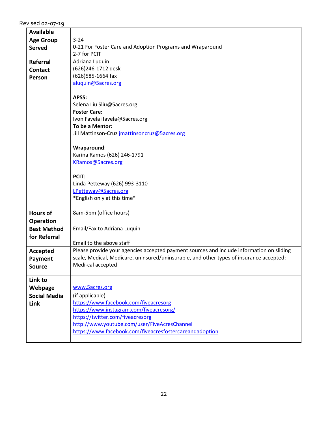| <b>Available</b>    |                                                                                          |
|---------------------|------------------------------------------------------------------------------------------|
| <b>Age Group</b>    | $3 - 24$                                                                                 |
| <b>Served</b>       | 0-21 For Foster Care and Adoption Programs and Wraparound                                |
|                     | 2-7 for PCIT                                                                             |
| <b>Referral</b>     | Adriana Luquin                                                                           |
| <b>Contact</b>      | (626)246-1712 desk                                                                       |
| Person              | (626)585-1664 fax                                                                        |
|                     | aluquin@5acres.org                                                                       |
|                     |                                                                                          |
|                     | APSS:                                                                                    |
|                     | Selena Liu Sliu@5acres.org                                                               |
|                     | <b>Foster Care:</b>                                                                      |
|                     | Ivon Favela ifavela@5acres.org                                                           |
|                     | To be a Mentor:                                                                          |
|                     | Jill Mattinson-Cruz jmattinsoncruz@5acres.org                                            |
|                     |                                                                                          |
|                     | Wraparound:                                                                              |
|                     | Karina Ramos (626) 246-1791                                                              |
|                     | KRamos@5acres.org                                                                        |
|                     | PCIT:                                                                                    |
|                     | Linda Petteway (626) 993-3110                                                            |
|                     | LPetteway@5acres.org                                                                     |
|                     | *English only at this time*                                                              |
|                     |                                                                                          |
| <b>Hours of</b>     | 8am-5pm (office hours)                                                                   |
| <b>Operation</b>    |                                                                                          |
| <b>Best Method</b>  | Email/Fax to Adriana Luquin                                                              |
| for Referral        |                                                                                          |
|                     | Email to the above staff                                                                 |
| Accepted            | Please provide your agencies accepted payment sources and include information on sliding |
| Payment             | scale, Medical, Medicare, uninsured/uninsurable, and other types of insurance accepted:  |
| <b>Source</b>       | Medi-cal accepted                                                                        |
|                     |                                                                                          |
| Link to             |                                                                                          |
| Webpage             | www.5acres.org                                                                           |
| <b>Social Media</b> | (if applicable)                                                                          |
| Link                | https://www.facebook.com/fiveacresorg                                                    |
|                     | https://www.instagram.com/fiveacresorg/                                                  |
|                     | https://twitter.com/fiveacresorg                                                         |
|                     | http://www.youtube.com/user/FiveAcresChannel                                             |
|                     | https://www.facebook.com/fiveacresfostercareandadoption                                  |
|                     |                                                                                          |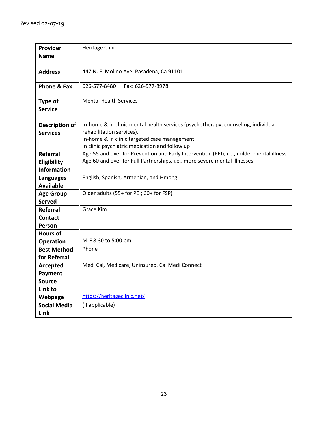| Provider            | <b>Heritage Clinic</b>                                                                   |
|---------------------|------------------------------------------------------------------------------------------|
| <b>Name</b>         |                                                                                          |
|                     |                                                                                          |
|                     |                                                                                          |
| <b>Address</b>      | 447 N. El Molino Ave. Pasadena, Ca 91101                                                 |
| Phone & Fax         | Fax: 626-577-8978<br>626-577-8480                                                        |
|                     |                                                                                          |
| Type of             | <b>Mental Health Services</b>                                                            |
| <b>Service</b>      |                                                                                          |
|                     |                                                                                          |
| Description of      | In-home & in-clinic mental health services (psychotherapy, counseling, individual        |
| <b>Services</b>     | rehabilitation services).                                                                |
|                     | In-home & in clinic targeted case management                                             |
|                     | In clinic psychiatric medication and follow up                                           |
| Referral            | Age 55 and over for Prevention and Early Intervention (PEI), i.e., milder mental illness |
| Eligibility         | Age 60 and over for Full Partnerships, i.e., more severe mental illnesses                |
| <b>Information</b>  |                                                                                          |
| <b>Languages</b>    | English, Spanish, Armenian, and Hmong                                                    |
| <b>Available</b>    |                                                                                          |
| <b>Age Group</b>    | Older adults (55+ for PEI; 60+ for FSP)                                                  |
| <b>Served</b>       |                                                                                          |
| Referral            | Grace Kim                                                                                |
| <b>Contact</b>      |                                                                                          |
| Person              |                                                                                          |
| <b>Hours of</b>     |                                                                                          |
| <b>Operation</b>    | M-F 8:30 to 5:00 pm                                                                      |
| <b>Best Method</b>  | Phone                                                                                    |
| for Referral        |                                                                                          |
| Accepted            | Medi Cal, Medicare, Uninsured, Cal Medi Connect                                          |
| Payment             |                                                                                          |
| <b>Source</b>       |                                                                                          |
| Link to             |                                                                                          |
| Webpage             | https://heritageclinic.net/                                                              |
| <b>Social Media</b> | (if applicable)                                                                          |
| Link                |                                                                                          |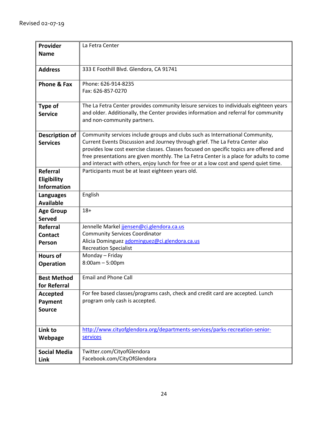| Provider                      | La Fetra Center                                                                         |
|-------------------------------|-----------------------------------------------------------------------------------------|
|                               |                                                                                         |
| <b>Name</b>                   |                                                                                         |
|                               |                                                                                         |
| <b>Address</b>                | 333 E Foothill Blvd. Glendora, CA 91741                                                 |
|                               |                                                                                         |
| Phone & Fax                   | Phone: 626-914-8235                                                                     |
|                               | Fax: 626-857-0270                                                                       |
|                               |                                                                                         |
| Type of                       | The La Fetra Center provides community leisure services to individuals eighteen years   |
| <b>Service</b>                | and older. Additionally, the Center provides information and referral for community     |
|                               | and non-community partners.                                                             |
|                               |                                                                                         |
| Description of                | Community services include groups and clubs such as International Community,            |
| <b>Services</b>               | Current Events Discussion and Journey through grief. The La Fetra Center also           |
|                               | provides low cost exercise classes. Classes focused on specific topics are offered and  |
|                               | free presentations are given monthly. The La Fetra Center is a place for adults to come |
|                               | and interact with others, enjoy lunch for free or at a low cost and spend quiet time.   |
| Referral                      | Participants must be at least eighteen years old.                                       |
| Eligibility                   |                                                                                         |
| <b>Information</b>            |                                                                                         |
|                               | English                                                                                 |
| Languages<br><b>Available</b> |                                                                                         |
|                               | $18+$                                                                                   |
| <b>Age Group</b>              |                                                                                         |
| <b>Served</b>                 |                                                                                         |
| <b>Referral</b>               | Jennelle Markel jjensen@ci.glendora.ca.us                                               |
| <b>Contact</b>                | <b>Community Services Coordinator</b>                                                   |
| Person                        | Alicia Dominguez adominguez@ci.glendora.ca.us                                           |
|                               | <b>Recreation Specialist</b>                                                            |
| <b>Hours of</b>               | Monday - Friday                                                                         |
| <b>Operation</b>              | $8:00am - 5:00pm$                                                                       |
|                               |                                                                                         |
| <b>Best Method</b>            | <b>Email and Phone Call</b>                                                             |
| for Referral                  |                                                                                         |
| <b>Accepted</b>               | For fee based classes/programs cash, check and credit card are accepted. Lunch          |
| Payment                       | program only cash is accepted.                                                          |
| <b>Source</b>                 |                                                                                         |
|                               |                                                                                         |
|                               |                                                                                         |
| Link to                       | http://www.cityofglendora.org/departments-services/parks-recreation-senior-             |
| Webpage                       | services                                                                                |
|                               |                                                                                         |
| <b>Social Media</b>           | Twitter.com/CityofGlendora                                                              |
| Link                          | Facebook.com/CityOfGlendora                                                             |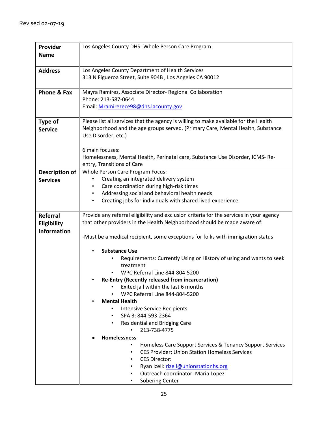| Provider               | Los Angeles County DHS- Whole Person Care Program                                       |
|------------------------|-----------------------------------------------------------------------------------------|
| <b>Name</b>            |                                                                                         |
|                        |                                                                                         |
| <b>Address</b>         | Los Angeles County Department of Health Services                                        |
|                        | 313 N Figueroa Street, Suite 904B, Los Angeles CA 90012                                 |
|                        |                                                                                         |
| <b>Phone &amp; Fax</b> | Mayra Ramirez, Associate Director- Regional Collaboration                               |
|                        | Phone: 213-587-0644                                                                     |
|                        | Email: Mramirezece98@dhs.lacounty.gov                                                   |
|                        |                                                                                         |
| Type of                | Please list all services that the agency is willing to make available for the Health    |
| <b>Service</b>         | Neighborhood and the age groups served. (Primary Care, Mental Health, Substance         |
|                        | Use Disorder, etc.)                                                                     |
|                        |                                                                                         |
|                        | 6 main focuses:                                                                         |
|                        | Homelessness, Mental Health, Perinatal care, Substance Use Disorder, ICMS-Re-           |
|                        | entry, Transitions of Care<br>Whole Person Care Program Focus:                          |
| <b>Description of</b>  | Creating an integrated delivery system                                                  |
| <b>Services</b>        | Care coordination during high-risk times                                                |
|                        | Addressing social and behavioral health needs<br>٠                                      |
|                        | Creating jobs for individuals with shared lived experience                              |
|                        |                                                                                         |
| Referral               | Provide any referral eligibility and exclusion criteria for the services in your agency |
| Eligibility            | that other providers in the Health Neighborhood should be made aware of:                |
| <b>Information</b>     |                                                                                         |
|                        | -Must be a medical recipient, some exceptions for folks with immigration status         |
|                        |                                                                                         |
|                        | <b>Substance Use</b>                                                                    |
|                        | Requirements: Currently Using or History of using and wants to seek                     |
|                        | treatment<br>WPC Referral Line 844-804-5200                                             |
|                        | <b>Re-Entry (Recently released from incarceration)</b>                                  |
|                        | Exited jail within the last 6 months                                                    |
|                        | <b>WPC Referral Line 844-804-5200</b>                                                   |
|                        | <b>Mental Health</b>                                                                    |
|                        | <b>Intensive Service Recipients</b><br>$\bullet$                                        |
|                        | SPA 3: 844-593-2364<br>٠                                                                |
|                        | <b>Residential and Bridging Care</b>                                                    |
|                        | 213-738-4775                                                                            |
|                        | <b>Homelessness</b>                                                                     |
|                        | Homeless Care Support Services & Tenancy Support Services<br>٠                          |
|                        | <b>CES Provider: Union Station Homeless Services</b><br>٠                               |
|                        | <b>CES Director:</b><br>٠                                                               |
|                        | Ryan Izell: rizell@unionstationhs.org                                                   |
|                        | Outreach coordinator: Maria Lopez                                                       |
|                        | Sobering Center                                                                         |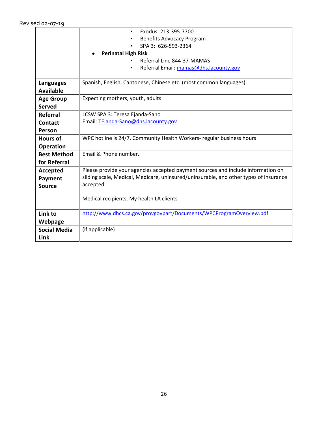|                     | Exodus: 213-395-7700<br>$\bullet$                                                     |
|---------------------|---------------------------------------------------------------------------------------|
|                     | <b>Benefits Advocacy Program</b>                                                      |
|                     | SPA 3: 626-593-2364                                                                   |
|                     | <b>Perinatal High Risk</b>                                                            |
|                     | Referral Line 844-37-MAMAS                                                            |
|                     | Referral Email: mamas@dhs.lacounty.gov<br>$\bullet$                                   |
|                     |                                                                                       |
| <b>Languages</b>    | Spanish, English, Cantonese, Chinese etc. (most common languages)                     |
| <b>Available</b>    |                                                                                       |
| <b>Age Group</b>    | Expecting mothers, youth, adults                                                      |
| <b>Served</b>       |                                                                                       |
| Referral            | LCSW SPA 3: Teresa Ejanda-Sano                                                        |
| <b>Contact</b>      | Email: TEjanda-Sano@dhs.lacounty.gov                                                  |
| Person              |                                                                                       |
| <b>Hours of</b>     | WPC hotline is 24/7. Community Health Workers- regular business hours                 |
| <b>Operation</b>    |                                                                                       |
| <b>Best Method</b>  | Email & Phone number.                                                                 |
| for Referral        |                                                                                       |
| Accepted            | Please provide your agencies accepted payment sources and include information on      |
| Payment             | sliding scale, Medical, Medicare, uninsured/uninsurable, and other types of insurance |
| <b>Source</b>       | accepted:                                                                             |
|                     |                                                                                       |
|                     | Medical recipients, My health LA clients                                              |
|                     |                                                                                       |
| Link to             | http://www.dhcs.ca.gov/provgovpart/Documents/WPCProgramOverview.pdf                   |
| Webpage             |                                                                                       |
| <b>Social Media</b> | (if applicable)                                                                       |
| Link                |                                                                                       |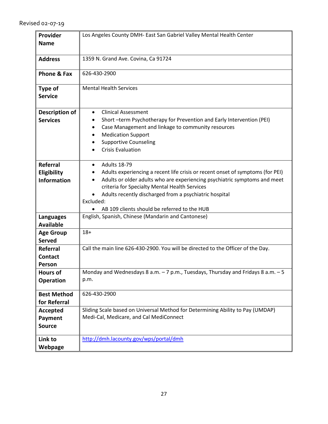| Provider<br><b>Name</b>                              | Los Angeles County DMH- East San Gabriel Valley Mental Health Center                                                                                                                                                                                                                                                                                       |
|------------------------------------------------------|------------------------------------------------------------------------------------------------------------------------------------------------------------------------------------------------------------------------------------------------------------------------------------------------------------------------------------------------------------|
| <b>Address</b>                                       | 1359 N. Grand Ave. Covina, Ca 91724                                                                                                                                                                                                                                                                                                                        |
| Phone & Fax                                          | 626-430-2900                                                                                                                                                                                                                                                                                                                                               |
| Type of<br><b>Service</b>                            | <b>Mental Health Services</b>                                                                                                                                                                                                                                                                                                                              |
| Description of<br><b>Services</b>                    | <b>Clinical Assessment</b><br>Short -term Psychotherapy for Prevention and Early Intervention (PEI)<br>Case Management and linkage to community resources<br><b>Medication Support</b><br><b>Supportive Counseling</b><br><b>Crisis Evaluation</b>                                                                                                         |
| <b>Referral</b><br>Eligibility<br><b>Information</b> | <b>Adults 18-79</b><br>Adults experiencing a recent life crisis or recent onset of symptoms (for PEI)<br>Adults or older adults who are experiencing psychiatric symptoms and meet<br>criteria for Specialty Mental Health Services<br>Adults recently discharged from a psychiatric hospital<br>Excluded:<br>AB 109 clients should be referred to the HUB |
| <b>Languages</b><br><b>Available</b>                 | English, Spanish, Chinese (Mandarin and Cantonese)                                                                                                                                                                                                                                                                                                         |
| <b>Age Group</b><br><b>Served</b>                    | $18+$                                                                                                                                                                                                                                                                                                                                                      |
| <b>Referral</b><br><b>Contact</b><br>Person          | Call the main line 626-430-2900. You will be directed to the Officer of the Day.                                                                                                                                                                                                                                                                           |
| <b>Hours of</b><br><b>Operation</b>                  | Monday and Wednesdays 8 a.m. - 7 p.m., Tuesdays, Thursday and Fridays 8 a.m. - 5<br>p.m.                                                                                                                                                                                                                                                                   |
| <b>Best Method</b><br>for Referral                   | 626-430-2900                                                                                                                                                                                                                                                                                                                                               |
| <b>Accepted</b><br>Payment<br><b>Source</b>          | Sliding Scale based on Universal Method for Determining Ability to Pay (UMDAP)<br>Medi-Cal, Medicare, and Cal MediConnect                                                                                                                                                                                                                                  |
| Link to<br>Webpage                                   | http://dmh.lacounty.gov/wps/portal/dmh                                                                                                                                                                                                                                                                                                                     |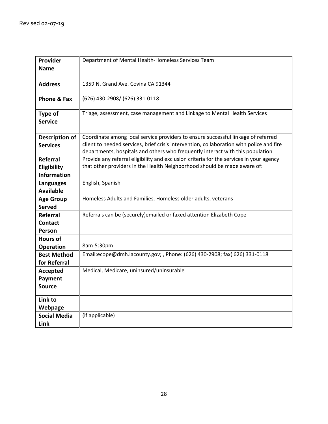| Provider              | Department of Mental Health-Homeless Services Team                                       |
|-----------------------|------------------------------------------------------------------------------------------|
| <b>Name</b>           |                                                                                          |
|                       |                                                                                          |
| <b>Address</b>        | 1359 N. Grand Ave. Covina CA 91344                                                       |
|                       |                                                                                          |
| Phone & Fax           | (626) 430-2908/ (626) 331-0118                                                           |
| <b>Type of</b>        | Triage, assessment, case management and Linkage to Mental Health Services                |
| <b>Service</b>        |                                                                                          |
|                       |                                                                                          |
| <b>Description of</b> | Coordinate among local service providers to ensure successful linkage of referred        |
| <b>Services</b>       | client to needed services, brief crisis intervention, collaboration with police and fire |
|                       | departments, hospitals and others who frequently interact with this population           |
| Referral              | Provide any referral eligibility and exclusion criteria for the services in your agency  |
| Eligibility           | that other providers in the Health Neighborhood should be made aware of:                 |
| <b>Information</b>    |                                                                                          |
| Languages             | English, Spanish                                                                         |
| <b>Available</b>      |                                                                                          |
| <b>Age Group</b>      | Homeless Adults and Families, Homeless older adults, veterans                            |
| <b>Served</b>         |                                                                                          |
| <b>Referral</b>       | Referrals can be (securely) emailed or faxed attention Elizabeth Cope                    |
| <b>Contact</b>        |                                                                                          |
| Person                |                                                                                          |
| <b>Hours of</b>       |                                                                                          |
| <b>Operation</b>      | 8am-5:30pm                                                                               |
| <b>Best Method</b>    | Email:ecope@dmh.lacounty.gov; , Phone: (626) 430-2908; fax( 626) 331-0118                |
| for Referral          |                                                                                          |
| <b>Accepted</b>       | Medical, Medicare, uninsured/uninsurable                                                 |
| Payment               |                                                                                          |
| <b>Source</b>         |                                                                                          |
| Link to               |                                                                                          |
| Webpage               |                                                                                          |
| <b>Social Media</b>   | (if applicable)                                                                          |
| Link                  |                                                                                          |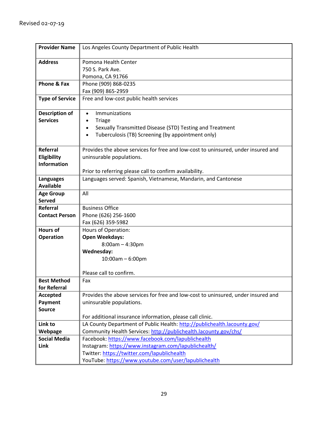| <b>Provider Name</b>              | Los Angeles County Department of Public Health                                    |
|-----------------------------------|-----------------------------------------------------------------------------------|
| <b>Address</b>                    | Pomona Health Center                                                              |
|                                   | 750 S. Park Ave.                                                                  |
|                                   | Pomona, CA 91766                                                                  |
| Phone & Fax                       | Phone (909) 868-0235                                                              |
|                                   | Fax (909) 865-2959                                                                |
| <b>Type of Service</b>            | Free and low-cost public health services                                          |
| <b>Description of</b>             | <b>Immunizations</b><br>$\bullet$                                                 |
| <b>Services</b>                   | <b>Triage</b><br>$\bullet$                                                        |
|                                   | Sexually Transmitted Disease (STD) Testing and Treatment<br>$\bullet$             |
|                                   | Tuberculosis (TB) Screening (by appointment only)<br>$\bullet$                    |
|                                   |                                                                                   |
| <b>Referral</b>                   | Provides the above services for free and low-cost to uninsured, under insured and |
| Eligibility                       | uninsurable populations.                                                          |
| <b>Information</b>                |                                                                                   |
|                                   | Prior to referring please call to confirm availability.                           |
| <b>Languages</b>                  | Languages served: Spanish, Vietnamese, Mandarin, and Cantonese                    |
| <b>Available</b>                  | All                                                                               |
| <b>Age Group</b><br><b>Served</b> |                                                                                   |
| Referral                          | <b>Business Office</b>                                                            |
| <b>Contact Person</b>             | Phone (626) 256-1600                                                              |
|                                   | Fax (626) 359-5982                                                                |
| <b>Hours of</b>                   | Hours of Operation:                                                               |
| <b>Operation</b>                  | <b>Open Weekdays:</b>                                                             |
|                                   | $8:00am - 4:30pm$                                                                 |
|                                   | Wednesday:                                                                        |
|                                   | $10:00$ am $- 6:00$ pm                                                            |
|                                   |                                                                                   |
|                                   | Please call to confirm.                                                           |
| <b>Best Method</b>                | Fax                                                                               |
| for Referral                      |                                                                                   |
| <b>Accepted</b>                   | Provides the above services for free and low-cost to uninsured, under insured and |
| Payment                           | uninsurable populations.                                                          |
| <b>Source</b>                     |                                                                                   |
|                                   | For additional insurance information, please call clinic.                         |
| Link to                           | LA County Department of Public Health: http://publichealth.lacounty.gov/          |
| Webpage                           | Community Health Services: http://publichealth.lacounty.gov/chs/                  |
| <b>Social Media</b>               | Facebook: https://www.facebook.com/lapublichealth                                 |
| Link                              | Instagram: https://www.instagram.com/lapublichealth/                              |
|                                   | Twitter: https://twitter.com/lapublichealth                                       |
|                                   | YouTube: https://www.youtube.com/user/lapublichealth                              |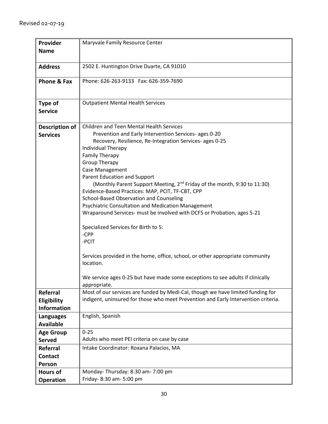| Provider           | Maryvale Family Resource Center                                                                                               |
|--------------------|-------------------------------------------------------------------------------------------------------------------------------|
| <b>Name</b>        |                                                                                                                               |
|                    |                                                                                                                               |
| <b>Address</b>     | 2502 E. Huntington Drive Duarte, CA 91010                                                                                     |
|                    |                                                                                                                               |
| Phone & Fax        | Phone: 626-263-9133  Fax: 626-359-7690                                                                                        |
|                    |                                                                                                                               |
|                    |                                                                                                                               |
| <b>Type of</b>     | <b>Outpatient Mental Health Services</b>                                                                                      |
| <b>Service</b>     |                                                                                                                               |
|                    |                                                                                                                               |
| Description of     | <b>Children and Teen Mental Health Services</b>                                                                               |
| <b>Services</b>    | Prevention and Early Intervention Services- ages 0-20                                                                         |
|                    | Recovery, Resilience, Re-Integration Services- ages 0-25                                                                      |
|                    | Individual Therapy                                                                                                            |
|                    | <b>Family Therapy</b>                                                                                                         |
|                    | <b>Group Therapy</b>                                                                                                          |
|                    | <b>Case Management</b>                                                                                                        |
|                    | Parent Education and Support                                                                                                  |
|                    | (Monthly Parent Support Meeting, 2 <sup>nd</sup> Friday of the month, 9:30 to 11:30)                                          |
|                    | Evidence-Based Practices: MAP, PCIT, TF-CBT, CPP                                                                              |
|                    | School-Based Observation and Counseling                                                                                       |
|                    | Psychiatric Consultation and Medication Management<br>Wraparound Services- must be involved with DCFS or Probation, ages 5-21 |
|                    |                                                                                                                               |
|                    | Specialized Services for Birth to 5:                                                                                          |
|                    | -CPP                                                                                                                          |
|                    | -PCIT                                                                                                                         |
|                    |                                                                                                                               |
|                    | Services provided in the home, office, school, or other appropriate community                                                 |
|                    | location.                                                                                                                     |
|                    |                                                                                                                               |
|                    | We service ages 0-25 but have made some exceptions to see adults if clinically                                                |
|                    | appropriate.                                                                                                                  |
| <b>Referral</b>    | Most of our services are funded by Medi-Cal, though we have limited funding for                                               |
| Eligibility        | indigent, uninsured for those who meet Prevention and Early Intervention criteria.                                            |
| <b>Information</b> |                                                                                                                               |
| <b>Languages</b>   | English, Spanish                                                                                                              |
| <b>Available</b>   |                                                                                                                               |
| <b>Age Group</b>   | $0 - 25$                                                                                                                      |
| <b>Served</b>      | Adults who meet PEI criteria on case by case                                                                                  |
| Referral           | Intake Coordinator: Roxana Palacios, MA                                                                                       |
| <b>Contact</b>     |                                                                                                                               |
| Person             |                                                                                                                               |
| <b>Hours of</b>    | Monday-Thursday: 8:30 am-7:00 pm                                                                                              |
| <b>Operation</b>   | Friday- 8:30 am- 5:00 pm                                                                                                      |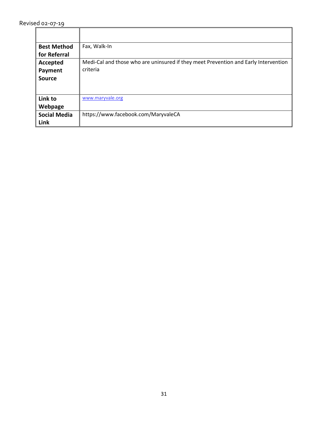| <b>Best Method</b>  | Fax, Walk-In                                                                        |
|---------------------|-------------------------------------------------------------------------------------|
| for Referral        |                                                                                     |
| Accepted            | Medi-Cal and those who are uninsured if they meet Prevention and Early Intervention |
| Payment             | criteria                                                                            |
| <b>Source</b>       |                                                                                     |
|                     |                                                                                     |
| Link to             | www.maryvale.org                                                                    |
| Webpage             |                                                                                     |
| <b>Social Media</b> | https://www.facebook.com/MaryvaleCA                                                 |
| Link                |                                                                                     |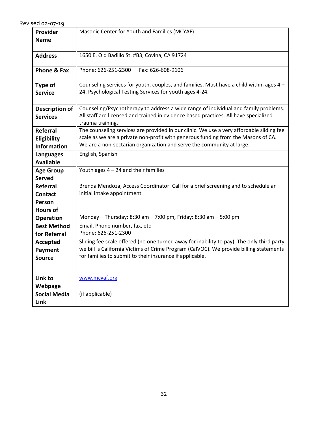| Provider              | Masonic Center for Youth and Families (MCYAF)                                                                                                      |
|-----------------------|----------------------------------------------------------------------------------------------------------------------------------------------------|
| <b>Name</b>           |                                                                                                                                                    |
|                       |                                                                                                                                                    |
| <b>Address</b>        | 1650 E. Old Badillo St. #B3, Covina, CA 91724                                                                                                      |
| Phone & Fax           | Phone: 626-251-2300<br>Fax: 626-608-9106                                                                                                           |
|                       |                                                                                                                                                    |
| Type of               | Counseling services for youth, couples, and families. Must have a child within ages 4 -                                                            |
| <b>Service</b>        | 24. Psychological Testing Services for youth ages 4-24.                                                                                            |
|                       |                                                                                                                                                    |
| <b>Description of</b> | Counseling/Psychotherapy to address a wide range of individual and family problems.                                                                |
| <b>Services</b>       | All staff are licensed and trained in evidence based practices. All have specialized<br>trauma training.                                           |
| Referral              | The counseling services are provided in our clinic. We use a very affordable sliding fee                                                           |
| Eligibility           | scale as we are a private non-profit with generous funding from the Masons of CA.                                                                  |
| <b>Information</b>    | We are a non-sectarian organization and serve the community at large.                                                                              |
| <b>Languages</b>      | English, Spanish                                                                                                                                   |
| <b>Available</b>      |                                                                                                                                                    |
| <b>Age Group</b>      | Youth ages $4 - 24$ and their families                                                                                                             |
| <b>Served</b>         |                                                                                                                                                    |
| Referral              | Brenda Mendoza, Access Coordinator. Call for a brief screening and to schedule an                                                                  |
| Contact               | initial intake appointment                                                                                                                         |
| Person                |                                                                                                                                                    |
| <b>Hours of</b>       |                                                                                                                                                    |
| <b>Operation</b>      | Monday - Thursday: 8:30 am - 7:00 pm, Friday: 8:30 am - 5:00 pm                                                                                    |
| <b>Best Method</b>    | Email, Phone number, fax, etc                                                                                                                      |
| for Referral          | Phone: 626-251-2300                                                                                                                                |
| <b>Accepted</b>       | Sliding fee scale offered (no one turned away for inability to pay). The only third party                                                          |
| Payment               | we bill is California Victims of Crime Program (CalVOC). We provide billing statements<br>for families to submit to their insurance if applicable. |
| <b>Source</b>         |                                                                                                                                                    |
|                       |                                                                                                                                                    |
| Link to               | www.mcyaf.org                                                                                                                                      |
| Webpage               |                                                                                                                                                    |
| <b>Social Media</b>   | (if applicable)                                                                                                                                    |
| Link                  |                                                                                                                                                    |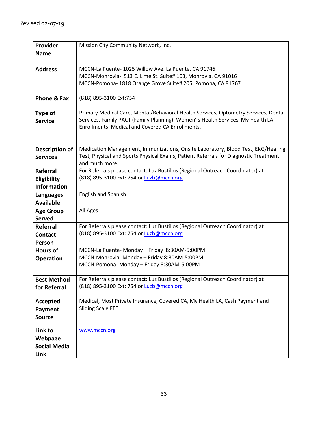| Provider               | Mission City Community Network, Inc.                                                 |
|------------------------|--------------------------------------------------------------------------------------|
| <b>Name</b>            |                                                                                      |
| <b>Address</b>         | MCCN-La Puente-1025 Willow Ave. La Puente, CA 91746                                  |
|                        | MCCN-Monrovia- 513 E. Lime St. Suite# 103, Monrovia, CA 91016                        |
|                        | MCCN-Pomona-1818 Orange Grove Suite# 205, Pomona, CA 91767                           |
|                        |                                                                                      |
| <b>Phone &amp; Fax</b> | (818) 895-3100 Ext:754                                                               |
| Type of                | Primary Medical Care, Mental/Behavioral Health Services, Optometry Services, Dental  |
| <b>Service</b>         | Services, Family PACT (Family Planning), Women's Health Services, My Health LA       |
|                        | Enrollments, Medical and Covered CA Enrollments.                                     |
|                        |                                                                                      |
| <b>Description of</b>  | Medication Management, Immunizations, Onsite Laboratory, Blood Test, EKG/Hearing     |
| <b>Services</b>        | Test, Physical and Sports Physical Exams, Patient Referrals for Diagnostic Treatment |
|                        | and much more.                                                                       |
| Referral               | For Referrals please contact: Luz Bustillos (Regional Outreach Coordinator) at       |
| Eligibility            | (818) 895-3100 Ext: 754 or Luzb@mccn.org                                             |
| <b>Information</b>     |                                                                                      |
| <b>Languages</b>       | <b>English and Spanish</b>                                                           |
| <b>Available</b>       |                                                                                      |
| <b>Age Group</b>       | All Ages                                                                             |
| <b>Served</b>          |                                                                                      |
| <b>Referral</b>        | For Referrals please contact: Luz Bustillos (Regional Outreach Coordinator) at       |
| <b>Contact</b>         | (818) 895-3100 Ext: 754 or Luzb@mccn.org                                             |
| Person                 |                                                                                      |
| <b>Hours of</b>        | MCCN-La Puente- Monday - Friday 8:30AM-5:00PM                                        |
| <b>Operation</b>       | MCCN-Monrovia- Monday - Friday 8:30AM-5:00PM                                         |
|                        | MCCN-Pomona- Monday - Friday 8:30AM-5:00PM                                           |
| <b>Best Method</b>     | For Referrals please contact: Luz Bustillos (Regional Outreach Coordinator) at       |
| for Referral           | (818) 895-3100 Ext: 754 or Luzb@mccn.org                                             |
|                        |                                                                                      |
| Accepted               | Medical, Most Private Insurance, Covered CA, My Health LA, Cash Payment and          |
| Payment                | <b>Sliding Scale FEE</b>                                                             |
| <b>Source</b>          |                                                                                      |
| Link to                | www.mccn.org                                                                         |
| Webpage                |                                                                                      |
| <b>Social Media</b>    |                                                                                      |
| Link                   |                                                                                      |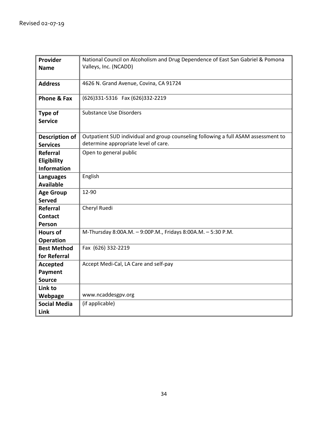| Provider              | National Council on Alcoholism and Drug Dependence of East San Gabriel & Pomona    |
|-----------------------|------------------------------------------------------------------------------------|
| <b>Name</b>           | Valleys, Inc. (NCADD)                                                              |
|                       |                                                                                    |
| <b>Address</b>        | 4626 N. Grand Avenue, Covina, CA 91724                                             |
|                       |                                                                                    |
| Phone & Fax           | (626)331-5316  Fax (626)332-2219                                                   |
|                       |                                                                                    |
| Type of               | <b>Substance Use Disorders</b>                                                     |
| <b>Service</b>        |                                                                                    |
|                       |                                                                                    |
| <b>Description of</b> | Outpatient SUD individual and group counseling following a full ASAM assessment to |
| <b>Services</b>       | determine appropriate level of care.                                               |
| Referral              | Open to general public                                                             |
| Eligibility           |                                                                                    |
| <b>Information</b>    |                                                                                    |
| <b>Languages</b>      | English                                                                            |
| <b>Available</b>      |                                                                                    |
| <b>Age Group</b>      | 12-90                                                                              |
| <b>Served</b>         |                                                                                    |
| Referral              | Cheryl Ruedi                                                                       |
| <b>Contact</b>        |                                                                                    |
| Person                |                                                                                    |
| <b>Hours of</b>       | M-Thursday 8:00A.M. - 9:00P.M., Fridays 8:00A.M. - 5:30 P.M.                       |
| <b>Operation</b>      |                                                                                    |
| <b>Best Method</b>    | Fax (626) 332-2219                                                                 |
| for Referral          |                                                                                    |
| <b>Accepted</b>       | Accept Medi-Cal, LA Care and self-pay                                              |
| Payment               |                                                                                    |
| <b>Source</b>         |                                                                                    |
| Link to               |                                                                                    |
| Webpage               | www.ncaddesgpv.org                                                                 |
| <b>Social Media</b>   | (if applicable)                                                                    |
| Link                  |                                                                                    |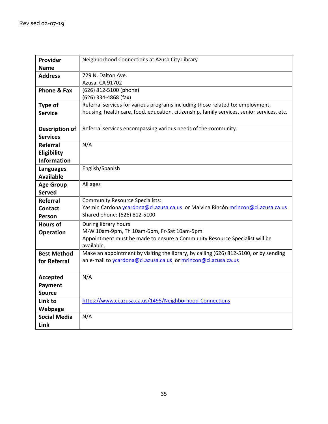| Provider               | Neighborhood Connections at Azusa City Library                                             |
|------------------------|--------------------------------------------------------------------------------------------|
| <b>Name</b>            |                                                                                            |
| <b>Address</b>         | 729 N. Dalton Ave.                                                                         |
|                        | Azusa, CA 91702                                                                            |
| <b>Phone &amp; Fax</b> | (626) 812-5100 (phone)                                                                     |
|                        | (626) 334-4868 (fax)                                                                       |
| Type of                | Referral services for various programs including those related to: employment,             |
| <b>Service</b>         | housing, health care, food, education, citizenship, family services, senior services, etc. |
|                        |                                                                                            |
| <b>Description of</b>  | Referral services encompassing various needs of the community.                             |
| <b>Services</b>        |                                                                                            |
| Referral               | N/A                                                                                        |
| Eligibility            |                                                                                            |
| <b>Information</b>     |                                                                                            |
| <b>Languages</b>       | English/Spanish                                                                            |
| <b>Available</b>       |                                                                                            |
| <b>Age Group</b>       | All ages                                                                                   |
| <b>Served</b>          |                                                                                            |
| <b>Referral</b>        | <b>Community Resource Specialists:</b>                                                     |
| <b>Contact</b>         | Yasmin Cardona ycardona@ci.azusa.ca.us or Malvina Rincón mrincon@ci.azusa.ca.us            |
| Person                 | Shared phone: (626) 812-5100                                                               |
| <b>Hours of</b>        | During library hours:                                                                      |
| <b>Operation</b>       | M-W 10am-9pm, Th 10am-6pm, Fr-Sat 10am-5pm                                                 |
|                        | Appointment must be made to ensure a Community Resource Specialist will be                 |
|                        | available.                                                                                 |
| <b>Best Method</b>     | Make an appointment by visiting the library, by calling (626) 812-5100, or by sending      |
| for Referral           | an e-mail to <i>ycardona@ci.azusa.ca.us</i> or mrincon@ci.azusa.ca.us                      |
|                        |                                                                                            |
| Accepted               | N/A                                                                                        |
| Payment                |                                                                                            |
| <b>Source</b>          |                                                                                            |
| Link to                | https://www.ci.azusa.ca.us/1495/Neighborhood-Connections                                   |
| Webpage                |                                                                                            |
| <b>Social Media</b>    | N/A                                                                                        |
| Link                   |                                                                                            |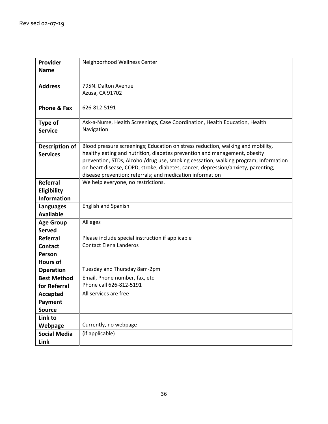| Provider               | Neighborhood Wellness Center                                                        |
|------------------------|-------------------------------------------------------------------------------------|
| <b>Name</b>            |                                                                                     |
|                        |                                                                                     |
| <b>Address</b>         | 795N. Dalton Avenue                                                                 |
|                        | Azusa, CA 91702                                                                     |
|                        |                                                                                     |
| <b>Phone &amp; Fax</b> | 626-812-5191                                                                        |
| Type of                | Ask-a-Nurse, Health Screenings, Case Coordination, Health Education, Health         |
| <b>Service</b>         | Navigation                                                                          |
|                        |                                                                                     |
| Description of         | Blood pressure screenings; Education on stress reduction, walking and mobility,     |
| <b>Services</b>        | healthy eating and nutrition, diabetes prevention and management, obesity           |
|                        | prevention, STDs, Alcohol/drug use, smoking cessation; walking program; Information |
|                        | on heart disease, COPD, stroke, diabetes, cancer, depression/anxiety, parenting;    |
|                        | disease prevention; referrals; and medication information                           |
| <b>Referral</b>        | We help everyone, no restrictions.                                                  |
| Eligibility            |                                                                                     |
| <b>Information</b>     |                                                                                     |
| <b>Languages</b>       | <b>English and Spanish</b>                                                          |
| <b>Available</b>       |                                                                                     |
| <b>Age Group</b>       | All ages                                                                            |
| <b>Served</b>          |                                                                                     |
| <b>Referral</b>        | Please include special instruction if applicable<br><b>Contact Elena Landeros</b>   |
| <b>Contact</b>         |                                                                                     |
| Person                 |                                                                                     |
| <b>Hours of</b>        |                                                                                     |
| <b>Operation</b>       | Tuesday and Thursday 8am-2pm                                                        |
| <b>Best Method</b>     | Email, Phone number, fax, etc<br>Phone call 626-812-5191                            |
| for Referral           |                                                                                     |
| <b>Accepted</b>        | All services are free                                                               |
| Payment                |                                                                                     |
| <b>Source</b>          |                                                                                     |
| Link to                |                                                                                     |
| Webpage                | Currently, no webpage                                                               |
| <b>Social Media</b>    | (if applicable)                                                                     |
| Link                   |                                                                                     |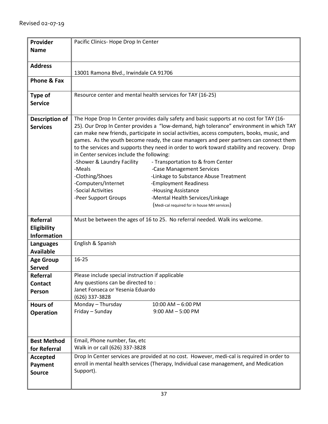| Provider<br><b>Name</b>                              | Pacific Clinics- Hope Drop In Center                                                                                                                                                                                                                                                                                                                                                                                                                                                                                                                                                                                                                                                                                                                                                                                                                                                                    |
|------------------------------------------------------|---------------------------------------------------------------------------------------------------------------------------------------------------------------------------------------------------------------------------------------------------------------------------------------------------------------------------------------------------------------------------------------------------------------------------------------------------------------------------------------------------------------------------------------------------------------------------------------------------------------------------------------------------------------------------------------------------------------------------------------------------------------------------------------------------------------------------------------------------------------------------------------------------------|
| <b>Address</b>                                       | 13001 Ramona Blvd., Irwindale CA 91706                                                                                                                                                                                                                                                                                                                                                                                                                                                                                                                                                                                                                                                                                                                                                                                                                                                                  |
| Phone & Fax                                          |                                                                                                                                                                                                                                                                                                                                                                                                                                                                                                                                                                                                                                                                                                                                                                                                                                                                                                         |
| <b>Type of</b><br><b>Service</b>                     | Resource center and mental health services for TAY (16-25)                                                                                                                                                                                                                                                                                                                                                                                                                                                                                                                                                                                                                                                                                                                                                                                                                                              |
| Description of<br><b>Services</b>                    | The Hope Drop In Center provides daily safety and basic supports at no cost for TAY (16-<br>25). Our Drop In Center provides a "low-demand, high tolerance" environment in which TAY<br>can make new friends, participate in social activities, access computers, books, music, and<br>games. As the youth become ready, the case managers and peer partners can connect them<br>to the services and supports they need in order to work toward stability and recovery. Drop<br>in Center services include the following:<br>-Shower & Laundry Facility<br>- Transportation to & from Center<br>-Meals<br>-Case Management Services<br>-Clothing/Shoes<br>-Linkage to Substance Abuse Treatment<br>-Computers/Internet<br>-Employment Readiness<br>-Social Activities<br>-Housing Assistance<br>-Mental Health Services/Linkage<br>-Peer Support Groups<br>(Medi-cal required for in house MH services) |
| <b>Referral</b><br>Eligibility<br><b>Information</b> | Must be between the ages of 16 to 25. No referral needed. Walk ins welcome.                                                                                                                                                                                                                                                                                                                                                                                                                                                                                                                                                                                                                                                                                                                                                                                                                             |
| <b>Languages</b><br><b>Available</b>                 | English & Spanish                                                                                                                                                                                                                                                                                                                                                                                                                                                                                                                                                                                                                                                                                                                                                                                                                                                                                       |
| <b>Age Group</b><br><b>Served</b>                    | $16 - 25$                                                                                                                                                                                                                                                                                                                                                                                                                                                                                                                                                                                                                                                                                                                                                                                                                                                                                               |
| Referral<br><b>Contact</b><br>Person                 | Please include special instruction if applicable<br>Any questions can be directed to:<br>Janet Fonseca or Yesenia Eduardo<br>(626) 337-3828                                                                                                                                                                                                                                                                                                                                                                                                                                                                                                                                                                                                                                                                                                                                                             |
| <b>Hours of</b><br><b>Operation</b>                  | Monday - Thursday<br>$10:00$ AM $- 6:00$ PM<br>Friday - Sunday<br>$9:00$ AM $-5:00$ PM                                                                                                                                                                                                                                                                                                                                                                                                                                                                                                                                                                                                                                                                                                                                                                                                                  |
| <b>Best Method</b><br>for Referral                   | Email, Phone number, fax, etc<br>Walk in or call (626) 337-3828                                                                                                                                                                                                                                                                                                                                                                                                                                                                                                                                                                                                                                                                                                                                                                                                                                         |
| Accepted<br>Payment<br><b>Source</b>                 | Drop In Center services are provided at no cost. However, medi-cal is required in order to<br>enroll in mental health services (Therapy, Individual case management, and Medication<br>Support).                                                                                                                                                                                                                                                                                                                                                                                                                                                                                                                                                                                                                                                                                                        |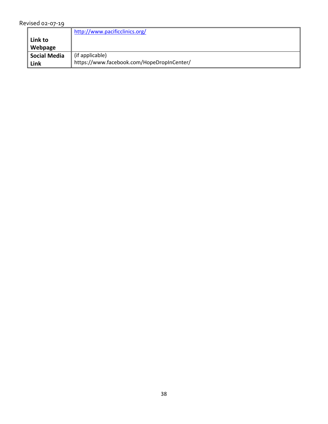| Revised 02-07-19 |
|------------------|
|------------------|

|                            | http://www.pacificclinics.org/             |
|----------------------------|--------------------------------------------|
| Link to                    |                                            |
| Webpage                    |                                            |
| <sup>'I</sup> Social Media | (if applicable)                            |
| Link                       | https://www.facebook.com/HopeDropInCenter/ |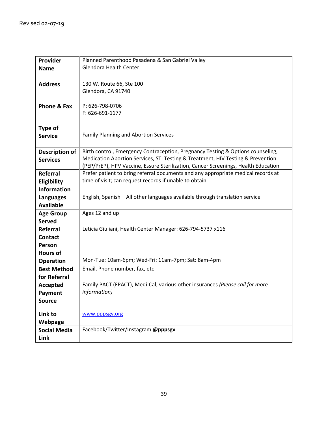| Provider              | Planned Parenthood Pasadena & San Gabriel Valley                                                                                                                        |
|-----------------------|-------------------------------------------------------------------------------------------------------------------------------------------------------------------------|
| <b>Name</b>           | Glendora Health Center                                                                                                                                                  |
|                       |                                                                                                                                                                         |
| <b>Address</b>        | 130 W. Route 66, Ste 100                                                                                                                                                |
|                       | Glendora, CA 91740                                                                                                                                                      |
|                       |                                                                                                                                                                         |
| Phone & Fax           | P: 626-798-0706                                                                                                                                                         |
|                       | F: 626-691-1177                                                                                                                                                         |
|                       |                                                                                                                                                                         |
| Type of               |                                                                                                                                                                         |
| <b>Service</b>        | <b>Family Planning and Abortion Services</b>                                                                                                                            |
|                       |                                                                                                                                                                         |
| <b>Description of</b> | Birth control, Emergency Contraception, Pregnancy Testing & Options counseling,                                                                                         |
| <b>Services</b>       | Medication Abortion Services, STI Testing & Treatment, HIV Testing & Prevention                                                                                         |
|                       | (PEP/PrEP), HPV Vaccine, Essure Sterilization, Cancer Screenings, Health Education<br>Prefer patient to bring referral documents and any appropriate medical records at |
| Referral              | time of visit; can request records if unable to obtain                                                                                                                  |
| Eligibility           |                                                                                                                                                                         |
| <b>Information</b>    |                                                                                                                                                                         |
| <b>Languages</b>      | English, Spanish - All other languages available through translation service                                                                                            |
| <b>Available</b>      |                                                                                                                                                                         |
| <b>Age Group</b>      | Ages 12 and up                                                                                                                                                          |
| <b>Served</b>         |                                                                                                                                                                         |
| Referral              | Leticia Giuliani, Health Center Manager: 626-794-5737 x116                                                                                                              |
| <b>Contact</b>        |                                                                                                                                                                         |
| Person                |                                                                                                                                                                         |
| <b>Hours of</b>       |                                                                                                                                                                         |
| <b>Operation</b>      | Mon-Tue: 10am-6pm; Wed-Fri: 11am-7pm; Sat: 8am-4pm                                                                                                                      |
| <b>Best Method</b>    | Email, Phone number, fax, etc                                                                                                                                           |
| for Referral          |                                                                                                                                                                         |
| <b>Accepted</b>       | Family PACT (FPACT), Medi-Cal, various other insurances (Please call for more                                                                                           |
| Payment               | information)                                                                                                                                                            |
| <b>Source</b>         |                                                                                                                                                                         |
| Link to               | www.pppsgv.org                                                                                                                                                          |
| Webpage               |                                                                                                                                                                         |
| <b>Social Media</b>   | Facebook/Twitter/Instagram @pppsgv                                                                                                                                      |
| Link                  |                                                                                                                                                                         |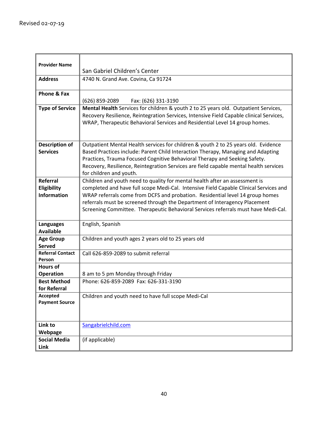| <b>Provider Name</b>                   |                                                                                         |
|----------------------------------------|-----------------------------------------------------------------------------------------|
|                                        | San Gabriel Children's Center                                                           |
| <b>Address</b>                         | 4740 N. Grand Ave. Covina, Ca 91724                                                     |
| Phone & Fax                            |                                                                                         |
|                                        | (626) 859-2089<br>Fax: (626) 331-3190                                                   |
| <b>Type of Service</b>                 | Mental Health Services for children & youth 2 to 25 years old. Outpatient Services,     |
|                                        | Recovery Resilience, Reintegration Services, Intensive Field Capable clinical Services, |
|                                        | WRAP, Therapeutic Behavioral Services and Residential Level 14 group homes.             |
|                                        |                                                                                         |
| <b>Description of</b>                  | Outpatient Mental Health services for children & youth 2 to 25 years old. Evidence      |
| <b>Services</b>                        | Based Practices include: Parent Child Interaction Therapy, Managing and Adapting        |
|                                        | Practices, Trauma Focused Cognitive Behavioral Therapy and Seeking Safety.              |
|                                        | Recovery, Resilience, Reintegration Services are field capable mental health services   |
|                                        | for children and youth.                                                                 |
| <b>Referral</b>                        | Children and youth need to quality for mental health after an assessment is             |
| Eligibility                            | completed and have full scope Medi-Cal. Intensive Field Capable Clinical Services and   |
| <b>Information</b>                     | WRAP referrals come from DCFS and probation. Residential level 14 group homes           |
|                                        | referrals must be screened through the Department of Interagency Placement              |
|                                        | Screening Committee. Therapeutic Behavioral Services referrals must have Medi-Cal.      |
| <b>Languages</b>                       | English, Spanish                                                                        |
| <b>Available</b>                       |                                                                                         |
| <b>Age Group</b>                       | Children and youth ages 2 years old to 25 years old                                     |
| <b>Served</b>                          |                                                                                         |
| <b>Referral Contact</b>                | Call 626-859-2089 to submit referral                                                    |
| Person                                 |                                                                                         |
| <b>Hours of</b>                        |                                                                                         |
| <b>Operation</b><br><b>Best Method</b> | 8 am to 5 pm Monday through Friday<br>Phone: 626-859-2089 Fax: 626-331-3190             |
| for Referral                           |                                                                                         |
| Accepted                               | Children and youth need to have full scope Medi-Cal                                     |
| <b>Payment Source</b>                  |                                                                                         |
|                                        |                                                                                         |
|                                        |                                                                                         |
| Link to                                | Sangabrielchild.com                                                                     |
| Webpage                                |                                                                                         |
| <b>Social Media</b>                    | (if applicable)                                                                         |
| Link                                   |                                                                                         |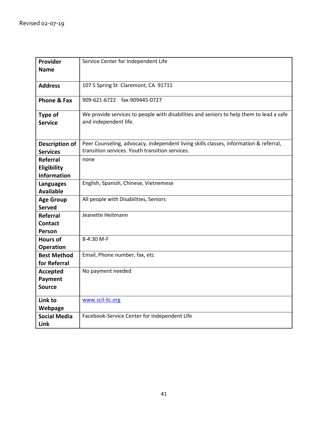| Provider            | Service Center for Independent Life                                                     |
|---------------------|-----------------------------------------------------------------------------------------|
| <b>Name</b>         |                                                                                         |
|                     |                                                                                         |
| <b>Address</b>      | 107 S Spring St Claremont, CA 91711                                                     |
|                     |                                                                                         |
| Phone & Fax         | 909-621-6722<br>fax-909445-0727                                                         |
| Type of             | We provide services to people with disabilities and seniors to help them to lead a safe |
| <b>Service</b>      | and independent life.                                                                   |
|                     |                                                                                         |
|                     |                                                                                         |
| Description of      | Peer Counseling, advocacy, independent living skills classes, information & referral,   |
| <b>Services</b>     | transition services. Youth transition services.                                         |
| <b>Referral</b>     | none                                                                                    |
| Eligibility         |                                                                                         |
| <b>Information</b>  |                                                                                         |
| <b>Languages</b>    | English, Spanish, Chinese, Vietnemese                                                   |
| <b>Available</b>    |                                                                                         |
| <b>Age Group</b>    | All people with Disabilities, Seniors                                                   |
| <b>Served</b>       |                                                                                         |
| <b>Referral</b>     | Jeanette Heitmann                                                                       |
| <b>Contact</b>      |                                                                                         |
| Person              |                                                                                         |
| <b>Hours of</b>     | 8-4:30 M-F                                                                              |
| <b>Operation</b>    |                                                                                         |
| <b>Best Method</b>  | Email, Phone number, fax, etc                                                           |
| for Referral        |                                                                                         |
| <b>Accepted</b>     | No payment needed                                                                       |
| Payment             |                                                                                         |
| <b>Source</b>       |                                                                                         |
| Link to             | www.scil-ilc.org                                                                        |
| Webpage             |                                                                                         |
| <b>Social Media</b> | Facebook-Service Center for Independent Life                                            |
| Link                |                                                                                         |
|                     |                                                                                         |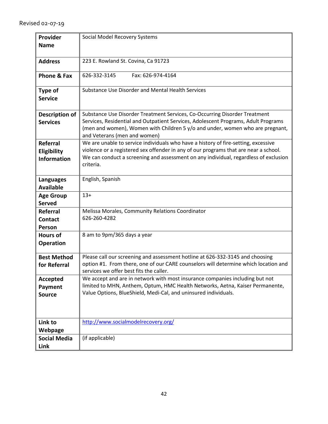| Provider               | Social Model Recovery Systems                                                        |
|------------------------|--------------------------------------------------------------------------------------|
|                        |                                                                                      |
| <b>Name</b>            |                                                                                      |
|                        |                                                                                      |
| <b>Address</b>         | 223 E. Rowland St. Covina, Ca 91723                                                  |
| <b>Phone &amp; Fax</b> | 626-332-3145<br>Fax: 626-974-4164                                                    |
|                        |                                                                                      |
| Type of                | Substance Use Disorder and Mental Health Services                                    |
| <b>Service</b>         |                                                                                      |
|                        |                                                                                      |
| <b>Description of</b>  | Substance Use Disorder Treatment Services, Co-Occurring Disorder Treatment           |
| <b>Services</b>        | Services, Residential and Outpatient Services, Adolescent Programs, Adult Programs   |
|                        | (men and women), Women with Children 5 y/o and under, women who are pregnant,        |
|                        | and Veterans (men and women)                                                         |
| Referral               | We are unable to service individuals who have a history of fire-setting, excessive   |
| Eligibility            | violence or a registered sex offender in any of our programs that are near a school. |
| <b>Information</b>     | We can conduct a screening and assessment on any individual, regardless of exclusion |
|                        | criteria.                                                                            |
|                        |                                                                                      |
| <b>Languages</b>       | English, Spanish                                                                     |
| <b>Available</b>       |                                                                                      |
| <b>Age Group</b>       | $13+$                                                                                |
| <b>Served</b>          |                                                                                      |
| <b>Referral</b>        | Melissa Morales, Community Relations Coordinator                                     |
| <b>Contact</b>         | 626-260-4282                                                                         |
| Person                 |                                                                                      |
| <b>Hours of</b>        | 8 am to 9pm/365 days a year                                                          |
| <b>Operation</b>       |                                                                                      |
|                        |                                                                                      |
| <b>Best Method</b>     | Please call our screening and assessment hotline at 626-332-3145 and choosing        |
| for Referral           | option #1. From there, one of our CARE counselors will determine which location and  |
|                        | services we offer best fits the caller.                                              |
| Accepted               | We accept and are in network with most insurance companies including but not         |
| Payment                | limited to MHN, Anthem, Optum, HMC Health Networks, Aetna, Kaiser Permanente,        |
| <b>Source</b>          | Value Options, BlueShield, Medi-Cal, and uninsured individuals.                      |
|                        |                                                                                      |
|                        |                                                                                      |
|                        |                                                                                      |
| Link to                | http://www.socialmodelrecovery.org/                                                  |
| Webpage                |                                                                                      |
| <b>Social Media</b>    | (if applicable)                                                                      |
| Link                   |                                                                                      |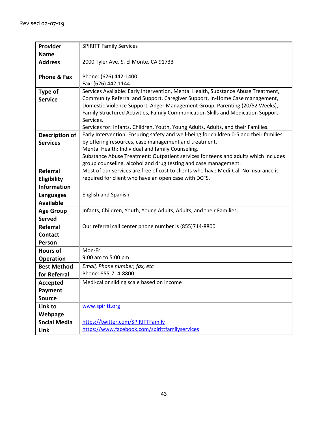| Provider              | <b>SPIRITT Family Services</b>                                                         |
|-----------------------|----------------------------------------------------------------------------------------|
| <b>Name</b>           |                                                                                        |
| <b>Address</b>        | 2000 Tyler Ave. S. El Monte, CA 91733                                                  |
|                       |                                                                                        |
| Phone & Fax           | Phone: (626) 442-1400                                                                  |
|                       | Fax: (626) 442-1144                                                                    |
| <b>Type of</b>        | Services Available: Early Intervention, Mental Health, Substance Abuse Treatment,      |
| <b>Service</b>        | Community Referral and Support, Caregiver Support, In-Home Case management,            |
|                       | Domestic Violence Support, Anger Management Group, Parenting (20/52 Weeks),            |
|                       | Family Structured Activities, Family Communication Skills and Medication Support       |
|                       | Services.                                                                              |
|                       | Services for: Infants, Children, Youth, Young Adults, Adults, and their Families.      |
| <b>Description of</b> | Early Intervention: Ensuring safety and well-being for children 0-5 and their families |
| <b>Services</b>       | by offering resources, case management and treatment.                                  |
|                       | Mental Health: Individual and family Counseling.                                       |
|                       | Substance Abuse Treatment: Outpatient services for teens and adults which includes     |
|                       | group counseling, alcohol and drug testing and case management.                        |
| <b>Referral</b>       | Most of our services are free of cost to clients who have Medi-Cal. No insurance is    |
| Eligibility           | required for client who have an open case with DCFS.                                   |
| <b>Information</b>    |                                                                                        |
| <b>Languages</b>      | <b>English and Spanish</b>                                                             |
| <b>Available</b>      |                                                                                        |
| <b>Age Group</b>      | Infants, Children, Youth, Young Adults, Adults, and their Families.                    |
| <b>Served</b>         |                                                                                        |
| <b>Referral</b>       | Our referral call center phone number is (855)714-8800                                 |
| <b>Contact</b>        |                                                                                        |
| Person                |                                                                                        |
| <b>Hours of</b>       | Mon-Fri                                                                                |
| <b>Operation</b>      | 9:00 am to 5:00 pm                                                                     |
| <b>Best Method</b>    | Email, Phone number, fax, etc                                                          |
| for Referral          | Phone: 855-714-8800                                                                    |
| <b>Accepted</b>       | Medi-cal or sliding scale based on income                                              |
| Payment               |                                                                                        |
| <b>Source</b>         |                                                                                        |
| Link to               | www.spiritt.org                                                                        |
| Webpage               |                                                                                        |
| <b>Social Media</b>   | https://twitter.com/SPIRITTFamily                                                      |
| Link                  | https://www.facebook.com/spirittfamilyservices                                         |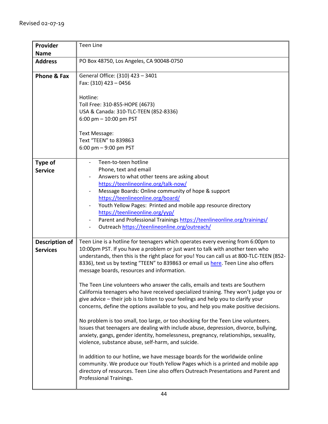| Provider<br><b>Name</b>                  | <b>Teen Line</b>                                                                                                                                                                                                                                                                                                                                                                                                                                                                                                                                                                                                                                                                                                                                                                                                                                                                                                                                                                                                                                                                                                                                                                                                                                                                                                                                                     |
|------------------------------------------|----------------------------------------------------------------------------------------------------------------------------------------------------------------------------------------------------------------------------------------------------------------------------------------------------------------------------------------------------------------------------------------------------------------------------------------------------------------------------------------------------------------------------------------------------------------------------------------------------------------------------------------------------------------------------------------------------------------------------------------------------------------------------------------------------------------------------------------------------------------------------------------------------------------------------------------------------------------------------------------------------------------------------------------------------------------------------------------------------------------------------------------------------------------------------------------------------------------------------------------------------------------------------------------------------------------------------------------------------------------------|
| <b>Address</b>                           | PO Box 48750, Los Angeles, CA 90048-0750                                                                                                                                                                                                                                                                                                                                                                                                                                                                                                                                                                                                                                                                                                                                                                                                                                                                                                                                                                                                                                                                                                                                                                                                                                                                                                                             |
| Phone & Fax                              | General Office: (310) 423 - 3401<br>Fax: (310) 423 - 0456<br>Hotline:<br>Toll Free: 310-855-HOPE (4673)<br>USA & Canada: 310-TLC-TEEN (852-8336)<br>6:00 pm $-$ 10:00 pm PST<br>Text Message:<br>Text "TEEN" to 839863<br>6:00 pm $-9:00$ pm PST                                                                                                                                                                                                                                                                                                                                                                                                                                                                                                                                                                                                                                                                                                                                                                                                                                                                                                                                                                                                                                                                                                                     |
| Type of<br><b>Service</b>                | Teen-to-teen hotline<br>Phone, text and email<br>Answers to what other teens are asking about<br>https://teenlineonline.org/talk-now/<br>Message Boards: Online community of hope & support<br>https://teenlineonline.org/board/<br>Youth Yellow Pages: Printed and mobile app resource directory<br>https://teenlineonline.org/yyp/<br>Parent and Professional Trainings https://teenlineonline.org/trainings/<br>Outreach https://teenlineonline.org/outreach/                                                                                                                                                                                                                                                                                                                                                                                                                                                                                                                                                                                                                                                                                                                                                                                                                                                                                                     |
| <b>Description of</b><br><b>Services</b> | Teen Line is a hotline for teenagers which operates every evening from 6:00pm to<br>10:00pm PST. If you have a problem or just want to talk with another teen who<br>understands, then this is the right place for you! You can call us at 800-TLC-TEEN (852-<br>8336), text us by texting "TEEN" to 839863 or email us here. Teen Line also offers<br>message boards, resources and information.<br>The Teen Line volunteers who answer the calls, emails and texts are Southern<br>California teenagers who have received specialized training. They won't judge you or<br>give advice - their job is to listen to your feelings and help you to clarify your<br>concerns, define the options available to you, and help you make positive decisions.<br>No problem is too small, too large, or too shocking for the Teen Line volunteers.<br>Issues that teenagers are dealing with include abuse, depression, divorce, bullying,<br>anxiety, gangs, gender identity, homelessness, pregnancy, relationships, sexuality,<br>violence, substance abuse, self-harm, and suicide.<br>In addition to our hotline, we have message boards for the worldwide online<br>community. We produce our Youth Yellow Pages which is a printed and mobile app<br>directory of resources. Teen Line also offers Outreach Presentations and Parent and<br>Professional Trainings. |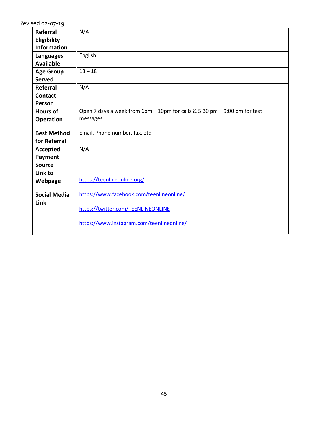| Referral            | N/A                                                                       |
|---------------------|---------------------------------------------------------------------------|
| Eligibility         |                                                                           |
| <b>Information</b>  |                                                                           |
| <b>Languages</b>    | English                                                                   |
| <b>Available</b>    |                                                                           |
| <b>Age Group</b>    | $13 - 18$                                                                 |
| <b>Served</b>       |                                                                           |
| <b>Referral</b>     | N/A                                                                       |
| <b>Contact</b>      |                                                                           |
| Person              |                                                                           |
| <b>Hours of</b>     | Open 7 days a week from 6pm - 10pm for calls & 5:30 pm - 9:00 pm for text |
| <b>Operation</b>    | messages                                                                  |
| <b>Best Method</b>  | Email, Phone number, fax, etc                                             |
| for Referral        |                                                                           |
| <b>Accepted</b>     | N/A                                                                       |
| Payment             |                                                                           |
| <b>Source</b>       |                                                                           |
| Link to             |                                                                           |
| Webpage             | https://teenlineonline.org/                                               |
| <b>Social Media</b> | https://www.facebook.com/teenlineonline/                                  |
| Link                | https://twitter.com/TEENLINEONLINE                                        |
|                     | https://www.instagram.com/teenlineonline/                                 |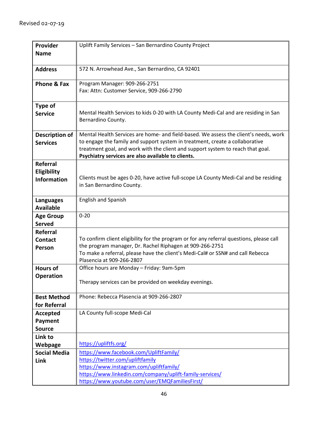| Provider               | Uplift Family Services - San Bernardino County Project                                                                                                               |
|------------------------|----------------------------------------------------------------------------------------------------------------------------------------------------------------------|
| <b>Name</b>            |                                                                                                                                                                      |
|                        |                                                                                                                                                                      |
| <b>Address</b>         | 572 N. Arrowhead Ave., San Bernardino, CA 92401                                                                                                                      |
|                        |                                                                                                                                                                      |
| <b>Phone &amp; Fax</b> | Program Manager: 909-266-2751                                                                                                                                        |
|                        | Fax: Attn: Customer Service, 909-266-2790                                                                                                                            |
|                        |                                                                                                                                                                      |
| Type of                |                                                                                                                                                                      |
| <b>Service</b>         | Mental Health Services to kids 0-20 with LA County Medi-Cal and are residing in San                                                                                  |
|                        | Bernardino County.                                                                                                                                                   |
|                        |                                                                                                                                                                      |
| <b>Description of</b>  | Mental Health Services are home- and field-based. We assess the client's needs, work<br>to engage the family and support system in treatment, create a collaborative |
| <b>Services</b>        | treatment goal, and work with the client and support system to reach that goal.                                                                                      |
|                        | Psychiatry services are also available to clients.                                                                                                                   |
| <b>Referral</b>        |                                                                                                                                                                      |
| Eligibility            |                                                                                                                                                                      |
| <b>Information</b>     | Clients must be ages 0-20, have active full-scope LA County Medi-Cal and be residing                                                                                 |
|                        | in San Bernardino County.                                                                                                                                            |
|                        |                                                                                                                                                                      |
| <b>Languages</b>       | <b>English and Spanish</b>                                                                                                                                           |
| <b>Available</b>       |                                                                                                                                                                      |
| <b>Age Group</b>       | $0 - 20$                                                                                                                                                             |
| <b>Served</b>          |                                                                                                                                                                      |
| <b>Referral</b>        |                                                                                                                                                                      |
| <b>Contact</b>         | To confirm client eligibility for the program or for any referral questions, please call                                                                             |
| Person                 | the program manager, Dr. Rachel Riphagen at 909-266-2751                                                                                                             |
|                        | To make a referral, please have the client's Medi-Cal# or SSN# and call Rebecca                                                                                      |
| <b>Hours of</b>        | Plasencia at 909-266-2807<br>Office hours are Monday - Friday: 9am-5pm                                                                                               |
|                        |                                                                                                                                                                      |
| <b>Operation</b>       | Therapy services can be provided on weekday evenings.                                                                                                                |
|                        |                                                                                                                                                                      |
| <b>Best Method</b>     | Phone: Rebecca Plasencia at 909-266-2807                                                                                                                             |
| for Referral           |                                                                                                                                                                      |
| Accepted               | LA County full-scope Medi-Cal                                                                                                                                        |
| <b>Payment</b>         |                                                                                                                                                                      |
| <b>Source</b>          |                                                                                                                                                                      |
| Link to                |                                                                                                                                                                      |
| Webpage                | https://upliftfs.org/                                                                                                                                                |
| <b>Social Media</b>    | https://www.facebook.com/UpliftFamily/                                                                                                                               |
| Link                   | https://twitter.com/upliftfamily                                                                                                                                     |
|                        | https://www.instagram.com/upliftfamily/                                                                                                                              |
|                        | https://www.linkedin.com/company/uplift-family-services/                                                                                                             |
|                        | https://www.youtube.com/user/EMQFamiliesFirst/                                                                                                                       |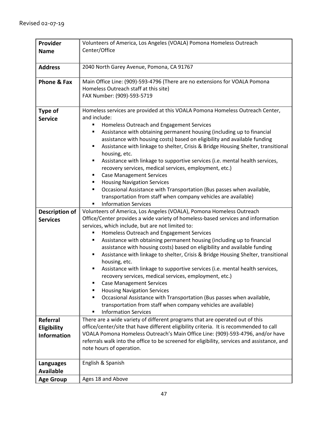| Provider           | Volunteers of America, Los Angeles (VOALA) Pomona Homeless Outreach                                                                                                      |
|--------------------|--------------------------------------------------------------------------------------------------------------------------------------------------------------------------|
| <b>Name</b>        | Center/Office                                                                                                                                                            |
|                    |                                                                                                                                                                          |
| <b>Address</b>     | 2040 North Garey Avenue, Pomona, CA 91767                                                                                                                                |
| Phone & Fax        | Main Office Line: (909)-593-4796 (There are no extensions for VOALA Pomona                                                                                               |
|                    | Homeless Outreach staff at this site)                                                                                                                                    |
|                    | FAX Number: (909)-593-5719                                                                                                                                               |
|                    |                                                                                                                                                                          |
| <b>Type of</b>     | Homeless services are provided at this VOALA Pomona Homeless Outreach Center,                                                                                            |
| <b>Service</b>     | and include:                                                                                                                                                             |
|                    | Homeless Outreach and Engagement Services<br>Assistance with obtaining permanent housing (including up to financial                                                      |
|                    | assistance with housing costs) based on eligibility and available funding                                                                                                |
|                    | Assistance with linkage to shelter, Crisis & Bridge Housing Shelter, transitional<br>П                                                                                   |
|                    | housing, etc.                                                                                                                                                            |
|                    | Assistance with linkage to supportive services (i.e. mental health services,<br>٠                                                                                        |
|                    | recovery services, medical services, employment, etc.)                                                                                                                   |
|                    | <b>Case Management Services</b><br>٠                                                                                                                                     |
|                    | <b>Housing Navigation Services</b><br>٠                                                                                                                                  |
|                    | Occasional Assistance with Transportation (Bus passes when available,<br>٠                                                                                               |
|                    | transportation from staff when company vehicles are available)                                                                                                           |
|                    | <b>Information Services</b>                                                                                                                                              |
| Description of     | Volunteers of America, Los Angeles (VOALA), Pomona Homeless Outreach                                                                                                     |
| <b>Services</b>    | Office/Center provides a wide variety of homeless-based services and information                                                                                         |
|                    | services, which include, but are not limited to:                                                                                                                         |
|                    | Homeless Outreach and Engagement Services<br>Assistance with obtaining permanent housing (including up to financial<br>٠                                                 |
|                    | assistance with housing costs) based on eligibility and available funding                                                                                                |
|                    | Assistance with linkage to shelter, Crisis & Bridge Housing Shelter, transitional<br>٠                                                                                   |
|                    | housing, etc.                                                                                                                                                            |
|                    | Assistance with linkage to supportive services (i.e. mental health services,<br>٠                                                                                        |
|                    | recovery services, medical services, employment, etc.)                                                                                                                   |
|                    | <b>Case Management Services</b>                                                                                                                                          |
|                    | <b>Housing Navigation Services</b>                                                                                                                                       |
|                    | Occasional Assistance with Transportation (Bus passes when available,                                                                                                    |
|                    | transportation from staff when company vehicles are available)                                                                                                           |
|                    | <b>Information Services</b>                                                                                                                                              |
| <b>Referral</b>    | There are a wide variety of different programs that are operated out of this                                                                                             |
| <b>Eligibility</b> | office/center/site that have different eligibility criteria. It is recommended to call<br>VOALA Pomona Homeless Outreach's Main Office Line: (909)-593-4796, and/or have |
| <b>Information</b> | referrals walk into the office to be screened for eligibility, services and assistance, and                                                                              |
|                    | note hours of operation.                                                                                                                                                 |
|                    |                                                                                                                                                                          |
| Languages          | English & Spanish                                                                                                                                                        |
| <b>Available</b>   |                                                                                                                                                                          |
| <b>Age Group</b>   | Ages 18 and Above                                                                                                                                                        |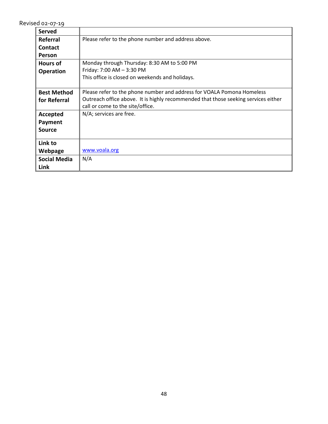| <b>Served</b>       |                                                                                    |
|---------------------|------------------------------------------------------------------------------------|
| Referral            | Please refer to the phone number and address above.                                |
| <b>Contact</b>      |                                                                                    |
| Person              |                                                                                    |
| <b>Hours of</b>     | Monday through Thursday: 8:30 AM to 5:00 PM                                        |
| <b>Operation</b>    | Friday: 7:00 AM - 3:30 PM                                                          |
|                     | This office is closed on weekends and holidays.                                    |
|                     |                                                                                    |
| <b>Best Method</b>  | Please refer to the phone number and address for VOALA Pomona Homeless             |
| for Referral        | Outreach office above. It is highly recommended that those seeking services either |
|                     | call or come to the site/office.                                                   |
| Accepted            | N/A; services are free.                                                            |
| Payment             |                                                                                    |
| <b>Source</b>       |                                                                                    |
|                     |                                                                                    |
| Link to             |                                                                                    |
| Webpage             | www.voala.org                                                                      |
| <b>Social Media</b> | N/A                                                                                |
| Link                |                                                                                    |